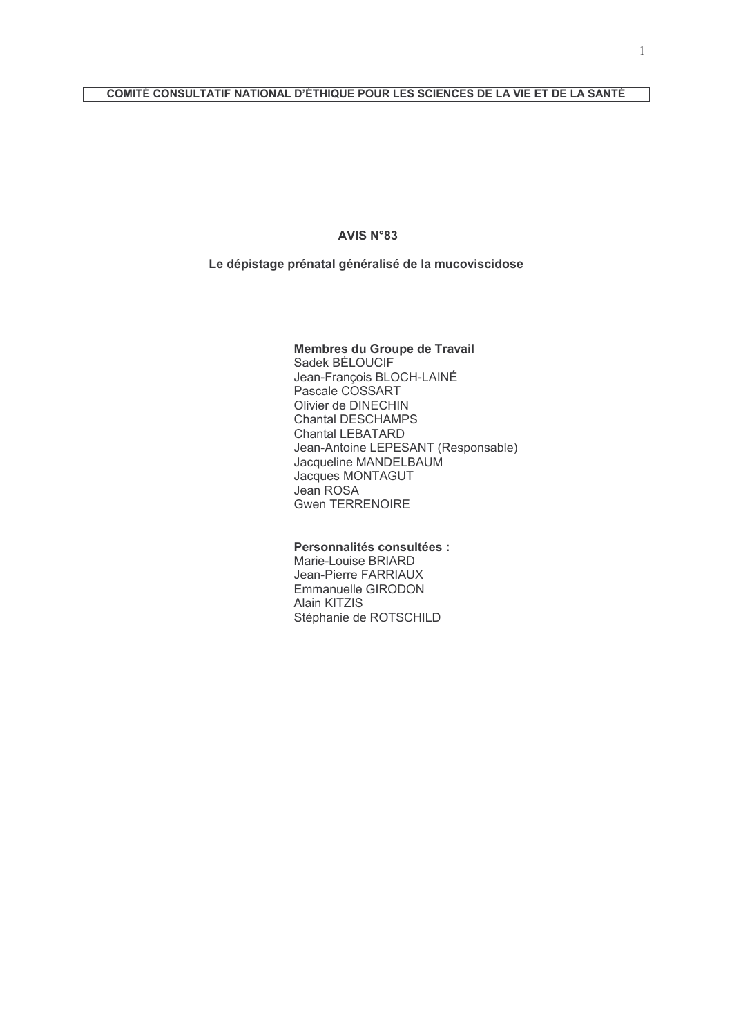#### **AVIS N°83**

### Le dépistage prénatal généralisé de la mucoviscidose

#### Membres du Groupe de Travail

Sadek BÉLOUCIF Jean-Francois BLOCH-LAINÉ Pascale COSSART Olivier de DINECHIN Chantal DESCHAMPS Chantal LEBATARD Jean-Antoine LEPESANT (Responsable) Jacqueline MANDELBAUM Jacques MONTAGUT Jean ROSA **Gwen TERRENOIRE** 

### Personnalités consultées :

Marie-Louise BRIARD Jean-Pierre FARRIAUX Emmanuelle GIRODON Alain KITZIS Stéphanie de ROTSCHILD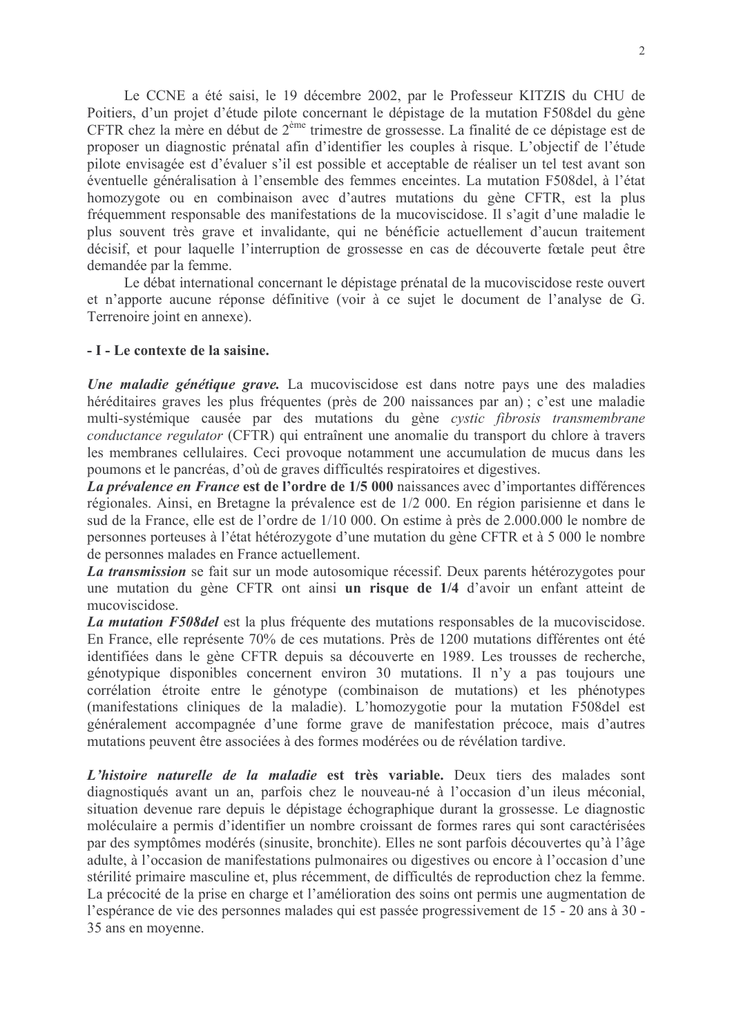Le CCNE a été saisi, le 19 décembre 2002, par le Professeur KITZIS du CHU de Poitiers, d'un projet d'étude pilote concernant le dépistage de la mutation F508 del du gène CFTR chez la mère en début de 2<sup>ème</sup> trimestre de grossesse. La finalité de ce dépistage est de proposer un diagnostic prénatal afin d'identifier les couples à risque. L'objectif de l'étude pilote envisagée est d'évaluer s'il est possible et acceptable de réaliser un tel test avant son éventuelle généralisation à l'ensemble des femmes enceintes. La mutation F508del, à l'état homozygote ou en combinaison avec d'autres mutations du gène CFTR, est la plus fréquemment responsable des manifestations de la mucoviscidose. Il s'agit d'une maladie le plus souvent très grave et invalidante, qui ne bénéficie actuellement d'aucun traitement décisif, et pour laquelle l'interruption de grossesse en cas de découverte fœtale peut être demandée par la femme

Le débat international concernant le dépistage prénatal de la mucoviscidose reste ouvert et n'apporte aucune réponse définitive (voir à ce sujet le document de l'analyse de G. Terrenoire joint en annexe).

### - I - Le contexte de la saisine.

Une maladie génétique grave. La mucoviscidose est dans notre pays une des maladies héréditaires graves les plus fréquentes (près de 200 naissances par an); c'est une maladie multi-systémique causée par des mutations du gène cystic fibrosis transmembrane conductance regulator (CFTR) qui entraînent une anomalie du transport du chlore à travers les membranes cellulaires. Ceci provoque notamment une accumulation de mucus dans les poumons et le pancréas, d'où de graves difficultés respiratoires et digestives.

La prévalence en France est de l'ordre de 1/5 000 naissances avec d'importantes différences régionales. Ainsi, en Bretagne la prévalence est de 1/2 000. En région parisienne et dans le sud de la France, elle est de l'ordre de 1/10 000. On estime à près de 2.000.000 le nombre de personnes porteuses à l'état hétérozygote d'une mutation du gène CFTR et à 5 000 le nombre de personnes malades en France actuellement.

La transmission se fait sur un mode autosomique récessif. Deux parents hétérozygotes pour une mutation du gène CFTR ont ainsi un risque de 1/4 d'avoir un enfant atteint de mucoviscidose

La mutation F508 del est la plus fréquente des mutations responsables de la mucoviscidose. En France, elle représente 70% de ces mutations. Près de 1200 mutations différentes ont été identifiées dans le gène CFTR depuis sa découverte en 1989. Les trousses de recherche, génotypique disponibles concernent environ 30 mutations. Il n'y a pas toujours une corrélation étroite entre le génotype (combinaison de mutations) et les phénotypes (manifestations cliniques de la maladie). L'homozygotie pour la mutation F508del est généralement accompagnée d'une forme grave de manifestation précoce, mais d'autres mutations peuvent être associées à des formes modérées ou de révélation tardive.

L'histoire naturelle de la maladie est très variable. Deux tiers des malades sont diagnostiqués avant un an, parfois chez le nouveau-né à l'occasion d'un ileus méconial, situation devenue rare depuis le dépistage échographique durant la grossesse. Le diagnostic moléculaire a permis d'identifier un nombre croissant de formes rares qui sont caractérisées par des symptômes modérés (sinusite, bronchite). Elles ne sont parfois découvertes qu'à l'âge adulte, à l'occasion de manifestations pulmonaires ou digestives ou encore à l'occasion d'une stérilité primaire masculine et, plus récemment, de difficultés de reproduction chez la femme. La précocité de la prise en charge et l'amélioration des soins ont permis une augmentation de l'espérance de vie des personnes malades qui est passée progressivement de 15 - 20 ans à 30 -35 ans en movenne.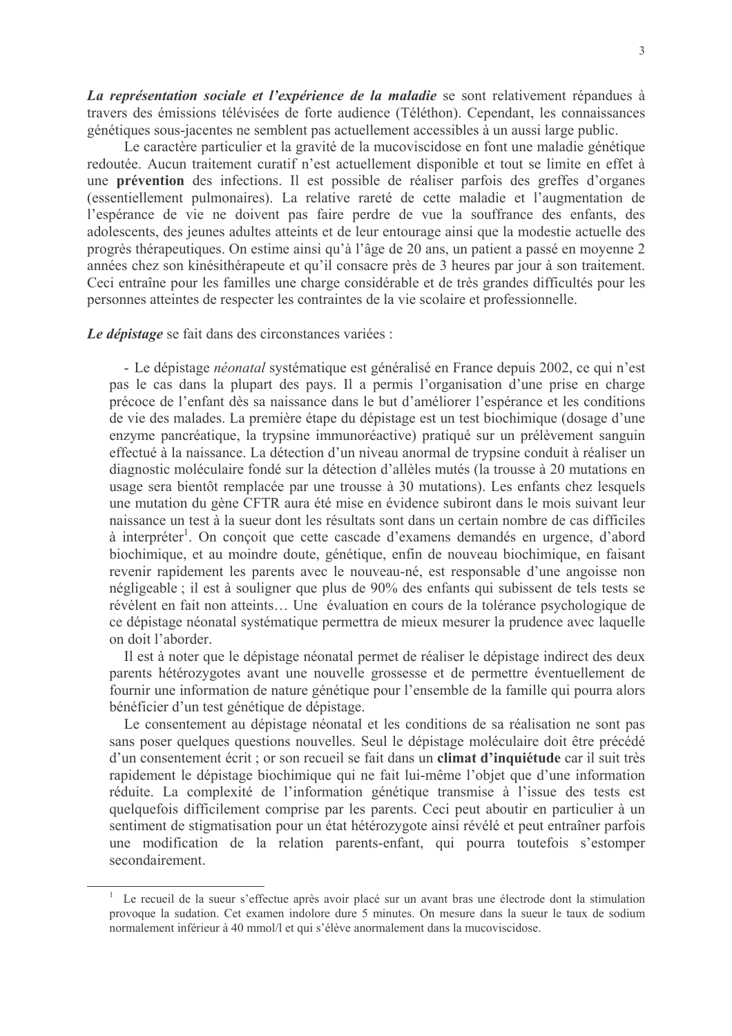La représentation sociale et l'expérience de la maladie se sont relativement répandues à travers des émissions télévisées de forte audience (Téléthon). Cependant, les connaissances génétiques sous-jacentes ne semblent pas actuellement accessibles à un aussi large public.

Le caractère particulier et la gravité de la mucoviscidose en font une maladie génétique redoutée. Aucun traitement curatif n'est actuellement disponible et tout se limite en effet à une prévention des infections. Il est possible de réaliser parfois des greffes d'organes (essentiellement pulmonaires). La relative rareté de cette maladie et l'augmentation de l'espérance de vie ne doivent pas faire perdre de vue la souffrance des enfants, des adolescents, des jeunes adultes atteints et de leur entourage ainsi que la modestie actuelle des progrès thérapeutiques. On estime ainsi qu'à l'âge de 20 ans, un patient a passé en moyenne 2 années chez son kinésithérapeute et qu'il consacre près de 3 heures par jour à son traitement. Ceci entraîne pour les familles une charge considérable et de très grandes difficultés pour les personnes atteintes de respecter les contraintes de la vie scolaire et professionnelle.

Le dépistage se fait dans des circonstances variées :

- Le dépistage néonatal systématique est généralisé en France depuis 2002, ce qui n'est pas le cas dans la plupart des pays. Il a permis l'organisation d'une prise en charge précoce de l'enfant dès sa naissance dans le but d'améliorer l'espérance et les conditions de vie des malades. La première étape du dépistage est un test biochimique (dosage d'une enzyme pancréatique, la trypsine immunoréactive) pratiqué sur un prélèvement sanguin effectué à la naissance. La détection d'un niveau anormal de trypsine conduit à réaliser un diagnostic moléculaire fondé sur la détection d'allèles mutés (la trousse à 20 mutations en usage sera bientôt remplacée par une trousse à 30 mutations). Les enfants chez lesquels une mutation du gène CFTR aura été mise en évidence subiront dans le mois suivant leur naissance un test à la sueur dont les résultats sont dans un certain nombre de cas difficiles à interpréter<sup>1</sup>. On conçoit que cette cascade d'examens demandés en urgence, d'abord biochimique, et au moindre doute, génétique, enfin de nouveau biochimique, en faisant revenir rapidement les parents avec le nouveau-né, est responsable d'une angoisse non négligeable ; il est à souligner que plus de 90% des enfants qui subissent de tels tests se révèlent en fait non atteints... Une évaluation en cours de la tolérance psychologique de ce dépistage néonatal systématique permettra de mieux mesurer la prudence avec laquelle on doit l'aborder.

Il est à noter que le dépistage néonatal permet de réaliser le dépistage indirect des deux parents hétérozygotes avant une nouvelle grossesse et de permettre éventuellement de fournir une information de nature génétique pour l'ensemble de la famille qui pourra alors bénéficier d'un test génétique de dépistage.

Le consentement au dépistage néonatal et les conditions de sa réalisation ne sont pas sans poser quelques questions nouvelles. Seul le dépistage moléculaire doit être précédé d'un consentement écrit ; or son recueil se fait dans un climat d'inquiétude car il suit très rapidement le dépistage biochimique qui ne fait lui-même l'objet que d'une information réduite. La complexité de l'information génétique transmise à l'issue des tests est quelquefois difficilement comprise par les parents. Ceci peut aboutir en particulier à un sentiment de stigmatisation pour un état hétérozygote ainsi révélé et peut entraîner parfois une modification de la relation parents-enfant, qui pourra toutefois s'estomper secondairement

<sup>&</sup>lt;sup>1</sup> Le recueil de la sueur s'effectue après avoir placé sur un avant bras une électrode dont la stimulation provoque la sudation. Cet examen indolore dure 5 minutes. On mesure dans la sueur le taux de sodium normalement inférieur à 40 mmol/l et qui s'élève anormalement dans la mucoviscidose.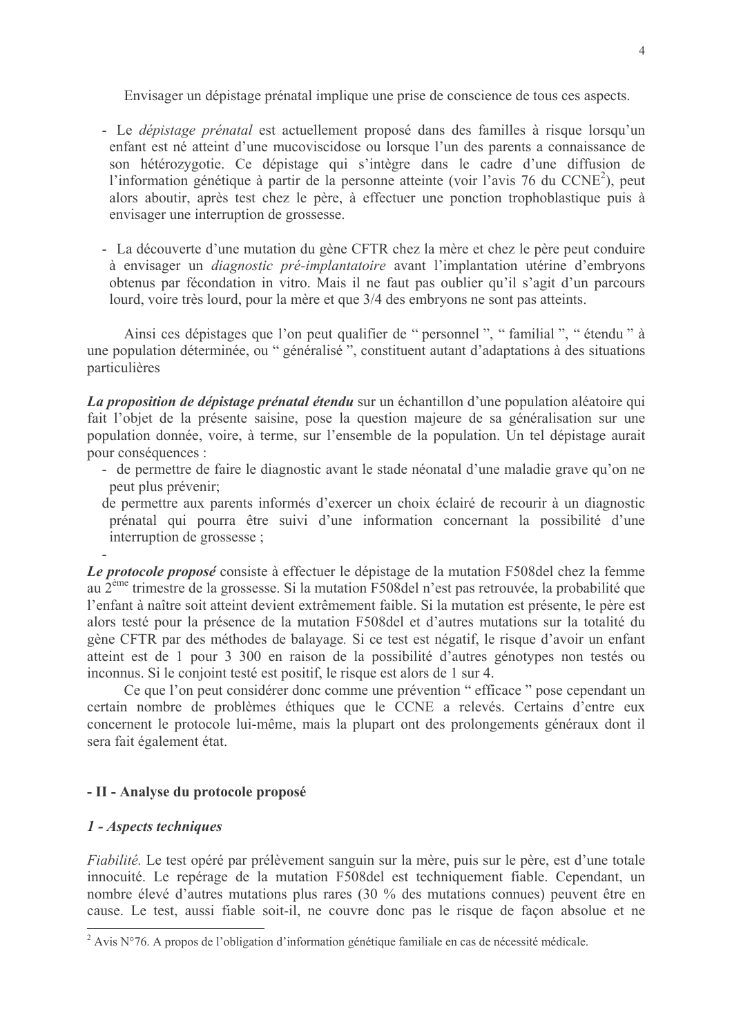Envisager un dépistage prénatal implique une prise de conscience de tous ces aspects.

- Le *dépistage prénatal* est actuellement proposé dans des familles à risque lorsqu'un enfant est né atteint d'une mucoviscidose ou lorsque l'un des parents a connaissance de son hétérozygotie. Ce dépistage qui s'intègre dans le cadre d'une diffusion de l'information génétique à partir de la personne atteinte (voir l'avis 76 du CCNE<sup>2</sup>), peut alors aboutir, après test chez le père, à effectuer une ponction trophoblastique puis à envisager une interruption de grossesse.
- La découverte d'une mutation du gène CFTR chez la mère et chez le père peut conduire à envisager un *diagnostic pré-implantatoire* avant l'implantation utérine d'embryons obtenus par fécondation in vitro. Mais il ne faut pas oublier qu'il s'agit d'un parcours lourd, voire très lourd, pour la mère et que 3/4 des embryons ne sont pas atteints.

Ainsi ces dépistages que l'on peut qualifier de "personnel", "familial", "étendu" à une population déterminée, ou "généralisé", constituent autant d'adaptations à des situations particulières

La proposition de dépistage prénatal étendu sur un échantillon d'une population aléatoire qui fait l'objet de la présente saisine, pose la question majeure de sa généralisation sur une population donnée, voire, à terme, sur l'ensemble de la population. Un tel dépistage aurait pour conséquences :

- de permettre de faire le diagnostic avant le stade néonatal d'une maladie grave qu'on ne peut plus prévenir;
- de permettre aux parents informés d'exercer un choix éclairé de recourir à un diagnostic prénatal qui pourra être suivi d'une information concernant la possibilité d'une interruption de grossesse ;

Le protocole proposé consiste à effectuer le dépistage de la mutation F508 del chez la femme au 2<sup>ème</sup> trimestre de la grossesse. Si la mutation F508 del n'est pas retrouvée, la probabilité que l'enfant à naître soit atteint devient extrêmement faible. Si la mutation est présente, le père est alors testé pour la présence de la mutation F508 del et d'autres mutations sur la totalité du gène CFTR par des méthodes de balayage. Si ce test est négatif, le risque d'avoir un enfant atteint est de 1 pour 3 300 en raison de la possibilité d'autres génotypes non testés ou inconnus. Si le conjoint testé est positif, le risque est alors de 1 sur 4.

Ce que l'on peut considérer donc comme une prévention "efficace " pose cependant un certain nombre de problèmes éthiques que le CCNE a relevés. Certains d'entre eux concernent le protocole lui-même, mais la plupart ont des prolongements généraux dont il sera fait également état.

# - II - Analyse du protocole proposé

# 1 - Aspects techniques

Fiabilité. Le test opéré par prélèvement sanguin sur la mère, puis sur le père, est d'une totale innocuité. Le repérage de la mutation F508 del est techniquement fiable. Cependant, un nombre élevé d'autres mutations plus rares (30 % des mutations connues) peuvent être en cause. Le test, aussi fiable soit-il, ne couvre donc pas le risque de façon absolue et ne

<sup>&</sup>lt;sup>2</sup> Avis N°76. A propos de l'obligation d'information génétique familiale en cas de nécessité médicale.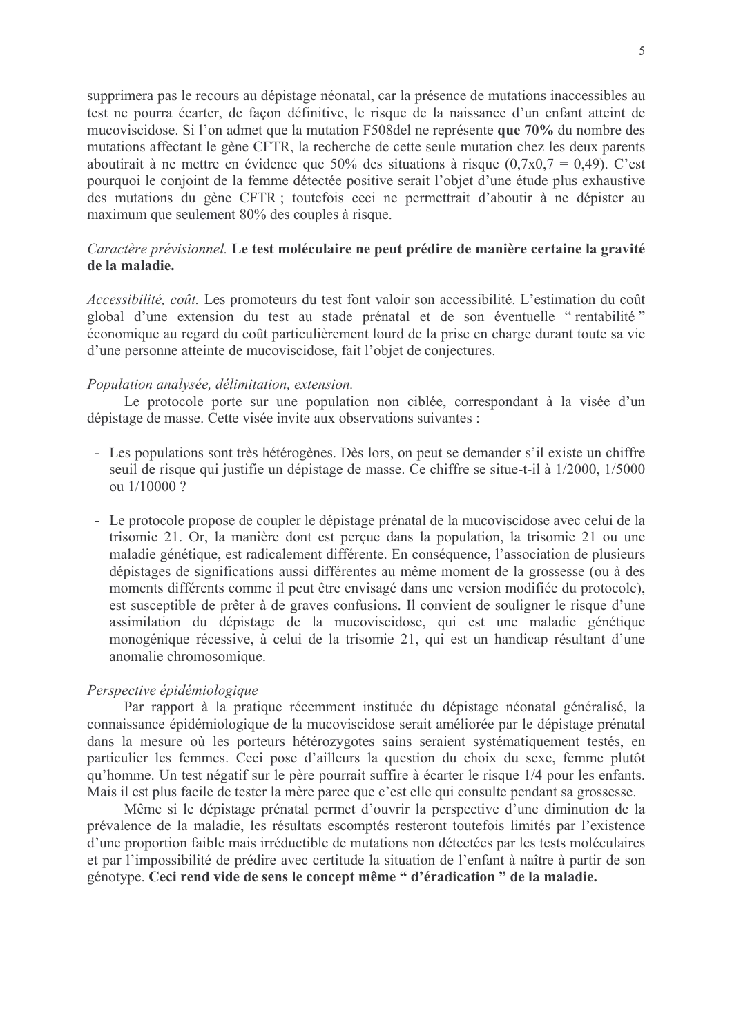supprimera pas le recours au dépistage néonatal, car la présence de mutations inaccessibles au test ne pourra écarter, de façon définitive, le risque de la naissance d'un enfant atteint de mucoviscidose. Si l'on admet que la mutation F508 del ne représente que 70% du nombre des mutations affectant le gène CFTR, la recherche de cette seule mutation chez les deux parents aboutirait à ne mettre en évidence que 50% des situations à risque  $(0.7x0.7 = 0.49)$ . C'est pourquoi le conjoint de la femme détectée positive serait l'objet d'une étude plus exhaustive des mutations du gène CFTR; toutefois ceci ne permettrait d'aboutir à ne dépister au maximum que seulement 80% des couples à risque.

# Caractère prévisionnel. Le test moléculaire ne peut prédire de manière certaine la gravité de la maladie.

Accessibilité, coût. Les promoteurs du test font valoir son accessibilité. L'estimation du coût global d'une extension du test au stade prénatal et de son éventuelle "rentabilité" économique au regard du coût particulièrement lourd de la prise en charge durant toute sa vie d'une personne atteinte de mucoviscidose, fait l'objet de conjectures.

## Population analysée, délimitation, extension.

Le protocole porte sur une population non ciblée, correspondant à la visée d'un dépistage de masse. Cette visée invite aux observations suivantes :

- Les populations sont très hétérogènes. Dès lors, on peut se demander s'il existe un chiffre seuil de risque qui justifie un dépistage de masse. Ce chiffre se situe-t-il à 1/2000, 1/5000 ou 1/10000?
- Le protocole propose de coupler le dépistage prénatal de la mucoviscidose avec celui de la trisomie 21. Or, la manière dont est percue dans la population, la trisomie 21 ou une maladie génétique, est radicalement différente. En conséquence, l'association de plusieurs dépistages de significations aussi différentes au même moment de la grossesse (ou à des moments différents comme il peut être envisagé dans une version modifiée du protocole). est susceptible de prêter à de graves confusions. Il convient de souligner le risque d'une assimilation du dépistage de la mucoviscidose, qui est une maladie génétique monogénique récessive, à celui de la trisomie 21, qui est un handicap résultant d'une anomalie chromosomique.

#### Perspective épidémiologique

Par rapport à la pratique récemment instituée du dépistage néonatal généralisé, la connaissance épidémiologique de la mucoviscidose serait améliorée par le dépistage prénatal dans la mesure où les porteurs hétérozygotes sains seraient systématiquement testés, en particulier les femmes. Ceci pose d'ailleurs la question du choix du sexe, femme plutôt qu'homme. Un test négatif sur le père pourrait suffire à écarter le risque 1/4 pour les enfants. Mais il est plus facile de tester la mère parce que c'est elle qui consulte pendant sa grossesse.

Même si le dépistage prénatal permet d'ouvrir la perspective d'une diminution de la prévalence de la maladie, les résultats escomptés resteront toutefois limités par l'existence d'une proportion faible mais irréductible de mutations non détectées par les tests moléculaires et par l'impossibilité de prédire avec certitude la situation de l'enfant à naître à partir de son génotype. Ceci rend vide de sens le concept même " d'éradication " de la maladie.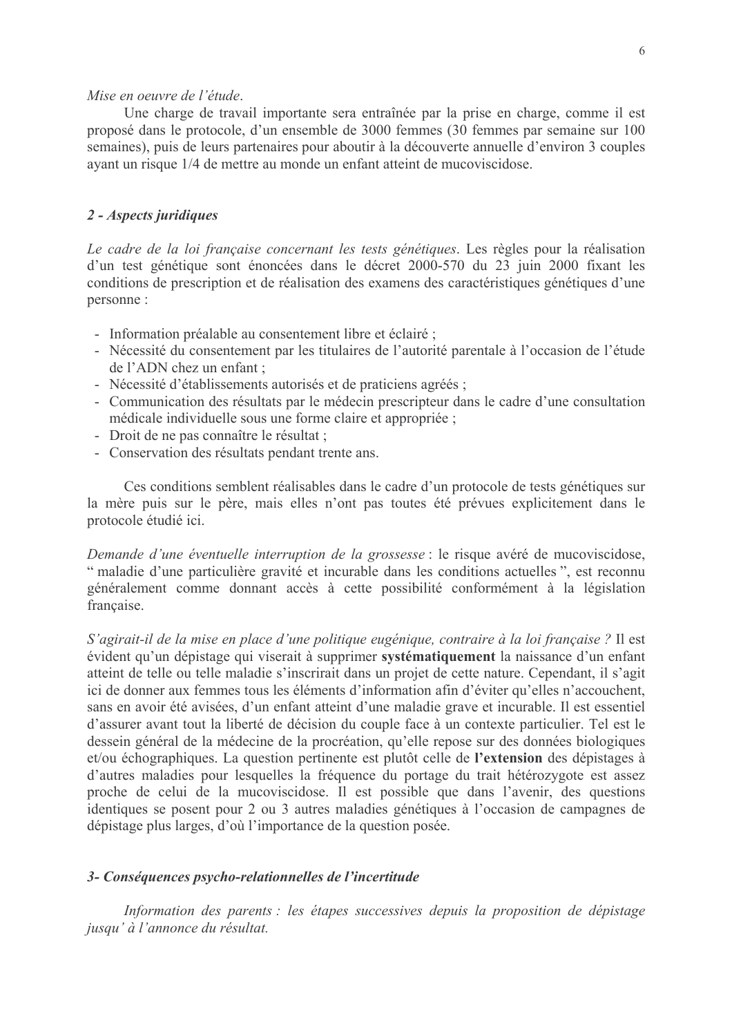### Mise en oeuvre de l'étude.

Une charge de travail importante sera entraînée par la prise en charge, comme il est proposé dans le protocole, d'un ensemble de 3000 femmes (30 femmes par semaine sur 100 semaines), puis de leurs partenaires pour aboutir à la découverte annuelle d'environ 3 couples ayant un risque 1/4 de mettre au monde un enfant atteint de mucoviscidose.

## 2 - Aspects juridiques

Le cadre de la loi française concernant les tests génétiques. Les règles pour la réalisation d'un test génétique sont énoncées dans le décret 2000-570 du 23 juin 2000 fixant les conditions de prescription et de réalisation des examens des caractéristiques génétiques d'une personne:

- Information préalable au consentement libre et éclairé ;
- Nécessité du consentement par les titulaires de l'autorité parentale à l'occasion de l'étude de l'ADN chez un enfant ;
- Nécessité d'établissements autorisés et de praticiens agrées ;
- Communication des résultats par le médecin prescripteur dans le cadre d'une consultation médicale individuelle sous une forme claire et appropriée ;
- Droit de ne pas connaître le résultat :
- Conservation des résultats pendant trente ans.

Ces conditions semblent réalisables dans le cadre d'un protocole de tests génétiques sur la mère puis sur le père, mais elles n'ont pas toutes été prévues explicitement dans le protocole étudié ici.

Demande d'une éventuelle interruption de la grossesse : le risque avéré de mucoviscidose, " maladie d'une particulière gravité et incurable dans les conditions actuelles", est reconnu généralement comme donnant accès à cette possibilité conformément à la législation française.

S'agirait-il de la mise en place d'une politique eugénique, contraire à la loi française ? Il est évident qu'un dépistage qui viserait à supprimer systématiquement la naissance d'un enfant atteint de telle ou telle maladie s'inscrirait dans un projet de cette nature. Cependant, il s'agit ici de donner aux femmes tous les éléments d'information afin d'éviter qu'elles n'accouchent, sans en avoir été avisées, d'un enfant atteint d'une maladie grave et incurable. Il est essentiel d'assurer avant tout la liberté de décision du couple face à un contexte particulier. Tel est le dessein général de la médecine de la procréation, qu'elle repose sur des données biologiques et/ou échographiques. La question pertinente est plutôt celle de l'extension des dépistages à d'autres maladies pour lesquelles la fréquence du portage du trait hétérozygote est assez proche de celui de la mucoviscidose. Il est possible que dans l'avenir, des questions identiques se posent pour 2 ou 3 autres maladies génétiques à l'occasion de campagnes de dépistage plus larges, d'où l'importance de la question posée.

### 3- Conséquences psycho-relationnelles de l'incertitude

Information des parents : les étapes successives depuis la proposition de dépistage jusqu' à l'annonce du résultat.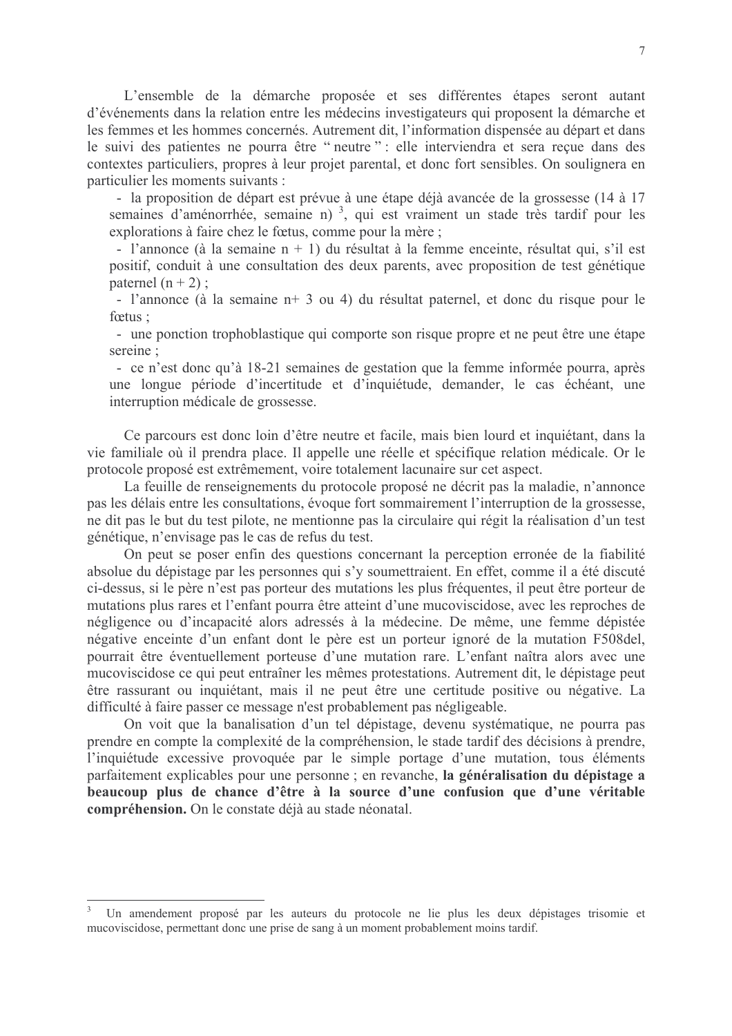L'ensemble de la démarche proposée et ses différentes étapes seront autant d'événements dans la relation entre les médecins investigateurs qui proposent la démarche et les femmes et les hommes concernés. Autrement dit, l'information dispensée au départ et dans le suivi des patientes ne pourra être "neutre" : elle interviendra et sera reçue dans des contextes particuliers, propres à leur projet parental, et donc fort sensibles. On soulignera en particulier les moments suivants :

- la proposition de départ est prévue à une étape déjà avancée de la grossesse (14 à 17 semaines d'aménorrhée, semaine n)<sup>3</sup>, qui est vraiment un stade très tardif pour les explorations à faire chez le fœtus, comme pour la mère ;

- l'annonce (à la semaine  $n + 1$ ) du résultat à la femme enceinte, résultat qui, s'il est positif, conduit à une consultation des deux parents, avec proposition de test génétique paternel  $(n + 2)$ ;

- l'annonce (à la semaine n+ 3 ou 4) du résultat paternel, et donc du risque pour le fœtus :

- une ponction trophoblastique qui comporte son risque propre et ne peut être une étape sereine:

- ce n'est donc qu'à 18-21 semaines de gestation que la femme informée pourra, après une longue période d'incertitude et d'inquiétude, demander, le cas échéant, une interruption médicale de grossesse.

Ce parcours est donc loin d'être neutre et facile, mais bien lourd et inquiétant, dans la vie familiale où il prendra place. Il appelle une réelle et spécifique relation médicale. Or le protocole proposé est extrêmement, voire totalement lacunaire sur cet aspect.

La feuille de renseignements du protocole proposé ne décrit pas la maladie, n'annonce pas les délais entre les consultations, évoque fort sommairement l'interruption de la grossesse, ne dit pas le but du test pilote, ne mentionne pas la circulaire qui régit la réalisation d'un test génétique, n'envisage pas le cas de refus du test.

On peut se poser enfin des questions concernant la perception erronée de la fiabilité absolue du dépistage par les personnes qui s'y soumettraient. En effet, comme il a été discuté ci-dessus, si le père n'est pas porteur des mutations les plus fréquentes, il peut être porteur de mutations plus rares et l'enfant pourra être atteint d'une mucoviscidose, avec les reproches de négligence ou d'incapacité alors adressés à la médecine. De même, une femme dépistée négative enceinte d'un enfant dont le père est un porteur ignoré de la mutation F508del, pourrait être éventuellement porteuse d'une mutation rare. L'enfant naîtra alors avec une mucoviscidose ce qui peut entraîner les mêmes protestations. Autrement dit, le dépistage peut être rassurant ou inquiétant, mais il ne peut être une certitude positive ou négative. La difficulté à faire passer ce message n'est probablement pas négligeable.

On voit que la banalisation d'un tel dépistage, devenu systématique, ne pourra pas prendre en compte la complexité de la compréhension, le stade tardif des décisions à prendre, l'inquiétude excessive provoquée par le simple portage d'une mutation, tous éléments parfaitement explicables pour une personne : en revanche. la généralisation du dépistage a beaucoup plus de chance d'être à la source d'une confusion que d'une véritable compréhension. On le constate déjà au stade néonatal.

Un amendement proposé par les auteurs du protocole ne lie plus les deux dépistages trisomie et mucoviscidose, permettant donc une prise de sang à un moment probablement moins tardif.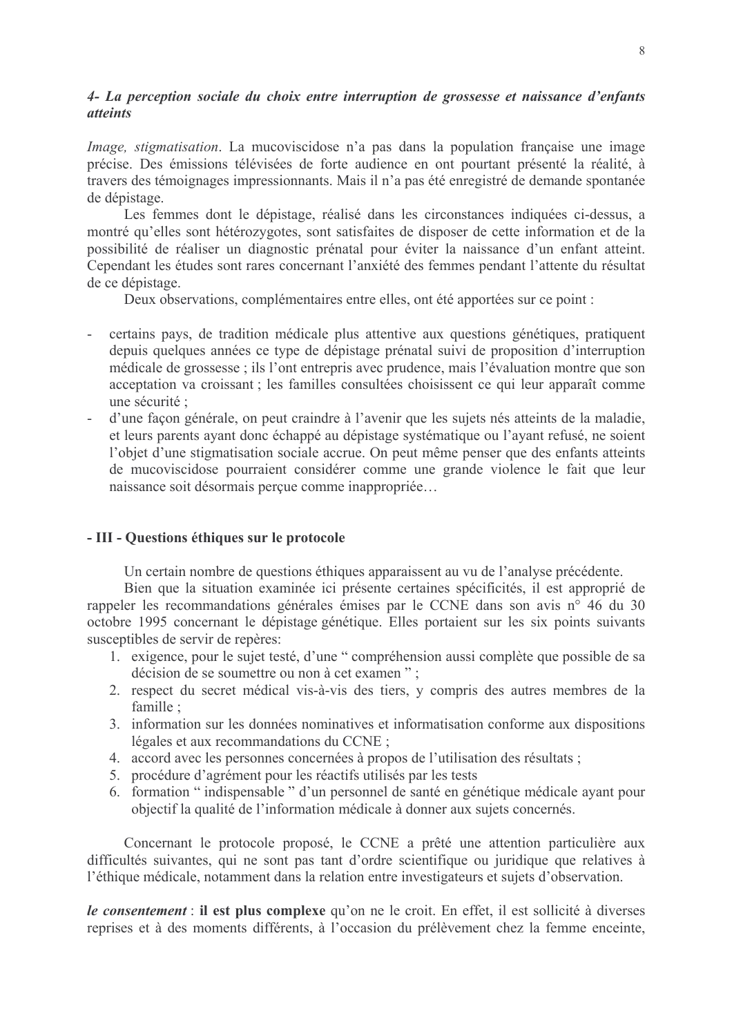# 4- La perception sociale du choix entre interruption de grossesse et naissance d'enfants *atteints*

*Image, stigmatisation.* La mucoviscidose n'a pas dans la population française une image précise. Des émissions télévisées de forte audience en ont pourtant présenté la réalité, à travers des témoignages impressionnants. Mais il n'a pas été enregistré de demande spontanée de dépistage.

Les femmes dont le dépistage, réalisé dans les circonstances indiquées ci-dessus, a montré qu'elles sont hétérozygotes, sont satisfaites de disposer de cette information et de la possibilité de réaliser un diagnostic prénatal pour éviter la naissance d'un enfant atteint. Cependant les études sont rares concernant l'anxiété des femmes pendant l'attente du résultat de ce dépistage.

Deux observations, complémentaires entre elles, ont été apportées sur ce point :

- certains pays, de tradition médicale plus attentive aux questions génétiques, pratiquent depuis quelques années ce type de dépistage prénatal suivi de proposition d'interruption médicale de grossesse ; ils l'ont entrepris avec prudence, mais l'évaluation montre que son acceptation va croissant ; les familles consultées choisissent ce qui leur apparaît comme une sécurité :
- d'une façon générale, on peut craindre à l'avenir que les sujets nés atteints de la maladie, et leurs parents ayant donc échappé au dépistage systématique ou l'ayant refusé, ne soient l'obiet d'une stigmatisation sociale accrue. On peut même penser que des enfants atteints de mucoviscidose pourraient considérer comme une grande violence le fait que leur naissance soit désormais perçue comme inappropriée...

## - III - Questions éthiques sur le protocole

Un certain nombre de questions éthiques apparaissent au vu de l'analyse précédente.

Bien que la situation examinée ici présente certaines spécificités, il est approprié de rappeler les recommandations générales émises par le CCNE dans son avis n° 46 du 30 octobre 1995 concernant le dépistage génétique. Elles portaient sur les six points suivants susceptibles de servir de repères:

- 1. exigence, pour le sujet testé, d'une "compréhension aussi complète que possible de sa décision de se soumettre ou non à cet examen":
- 2. respect du secret médical vis-à-vis des tiers, y compris des autres membres de la famille:
- 3. information sur les données nominatives et informatisation conforme aux dispositions légales et aux recommandations du CCNE ;
- 4. accord avec les personnes concernées à propos de l'utilisation des résultats;
- 5. procédure d'agrément pour les réactifs utilisés par les tests
- 6. formation "indispensable " d'un personnel de santé en génétique médicale avant pour objectif la qualité de l'information médicale à donner aux sujets concernés.

Concernant le protocole proposé, le CCNE a prêté une attention particulière aux difficultés suivantes, qui ne sont pas tant d'ordre scientifique ou juridique que relatives à l'éthique médicale, notamment dans la relation entre investigateurs et sujets d'observation.

le consentement : il est plus complexe qu'on ne le croit. En effet, il est sollicité à diverses reprises et à des moments différents, à l'occasion du prélèvement chez la femme enceinte,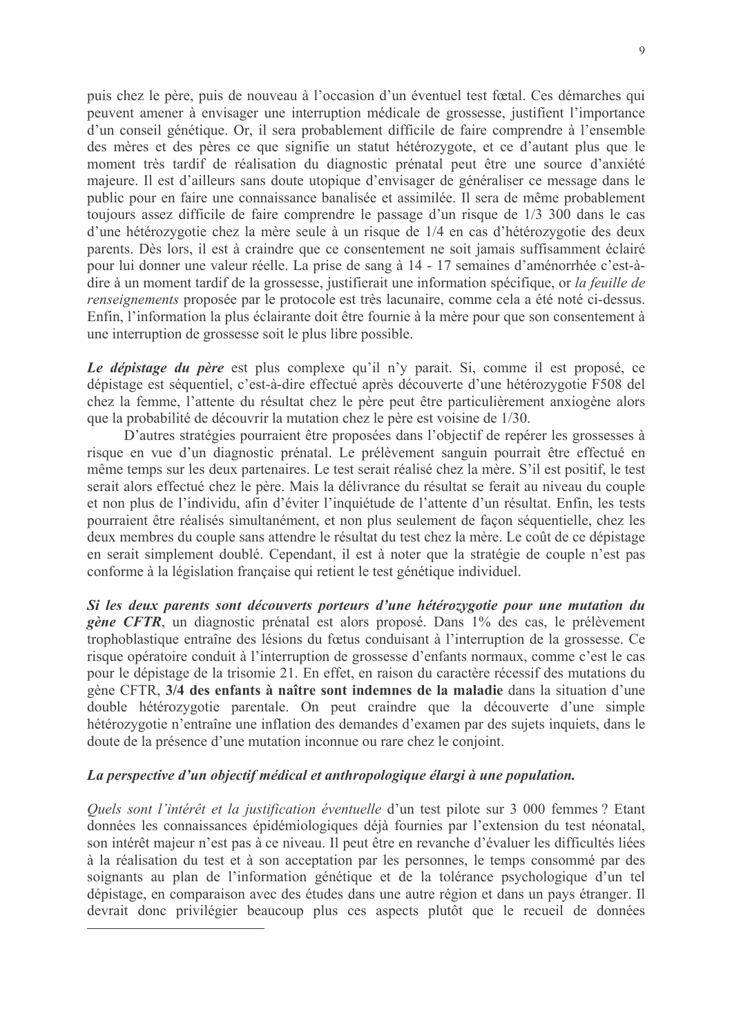puis chez le père, puis de nouveau à l'occasion d'un éventuel test fœtal. Ces démarches qui peuvent amener à envisager une interruption médicale de grossesse, justifient l'importance d'un conseil génétique. Or, il sera probablement difficile de faire comprendre à l'ensemble des mères et des pères ce que signifie un statut hétérozygote, et ce d'autant plus que le moment très tardif de réalisation du diagnostic prénatal peut être une source d'anxiété majeure. Il est d'ailleurs sans doute utopique d'envisager de généraliser ce message dans le public pour en faire une connaissance banalisée et assimilée. Il sera de même probablement toujours assez difficile de faire comprendre le passage d'un risque de 1/3 300 dans le cas d'une hétérozygotie chez la mère seule à un risque de 1/4 en cas d'hétérozygotie des deux parents. Dès lors, il est à craindre que ce consentement ne soit jamais suffisamment éclairé pour lui donner une valeur réelle. La prise de sang à 14 - 17 semaines d'aménorrhée c'est-àdire à un moment tardif de la grossesse, justifierait une information spécifique, or la feuille de renseignements proposée par le protocole est très lacunaire, comme cela a été noté ci-dessus. Enfin, l'information la plus éclairante doit être fournie à la mère pour que son consentement à une interruption de grossesse soit le plus libre possible.

Le dépistage du père est plus complexe qu'il n'y parait. Si, comme il est proposé, ce dépistage est séquentiel, c'est-à-dire effectué après découverte d'une hétérozygotie F508 del chez la femme, l'attente du résultat chez le père peut être particulièrement anxiogène alors que la probabilité de découvrir la mutation chez le père est voisine de 1/30.

D'autres stratégies pourraient être proposées dans l'objectif de repérer les grossesses à risque en vue d'un diagnostic prénatal. Le prélèvement sanguin pourrait être effectué en même temps sur les deux partenaires. Le test serait réalisé chez la mère. S'il est positif, le test serait alors effectué chez le père. Mais la délivrance du résultat se ferait au niveau du couple et non plus de l'individu, afin d'éviter l'inquiétude de l'attente d'un résultat. Enfin, les tests pourraient être réalisés simultanément, et non plus seulement de facon séquentielle, chez les deux membres du couple sans attendre le résultat du test chez la mère. Le coût de ce dépistage en serait simplement doublé. Cependant, il est à noter que la stratégie de couple n'est pas conforme à la législation française qui retient le test génétique individuel.

Si les deux parents sont découverts porteurs d'une hétérozygotie pour une mutation du gène CFTR, un diagnostic prénatal est alors proposé. Dans 1% des cas, le prélèvement trophoblastique entraîne des lésions du fœtus conduisant à l'interruption de la grossesse. Ce risque opératoire conduit à l'interruption de grossesse d'enfants normaux, comme c'est le cas pour le dépistage de la trisomie 21. En effet, en raison du caractère récessif des mutations du gène CFTR, 3/4 des enfants à naître sont indemnes de la maladie dans la situation d'une double hétérozygotie parentale. On peut craindre que la découverte d'une simple hétérozygotie n'entraîne une inflation des demandes d'examen par des sujets inquiets, dans le doute de la présence d'une mutation inconnue ou rare chez le conjoint.

# La perspective d'un objectif médical et anthropologique élargi à une population.

Quels sont l'intérêt et la justification éventuelle d'un test pilote sur 3 000 femmes ? Etant données les connaissances épidémiologiques déjà fournies par l'extension du test néonatal, son intérêt majeur n'est pas à ce niveau. Il peut être en revanche d'évaluer les difficultés liées à la réalisation du test et à son acceptation par les personnes, le temps consommé par des soignants au plan de l'information génétique et de la tolérance psychologique d'un tel dépistage, en comparaison avec des études dans une autre région et dans un pays étranger. Il devrait donc privilégier beaucoup plus ces aspects plutôt que le recueil de données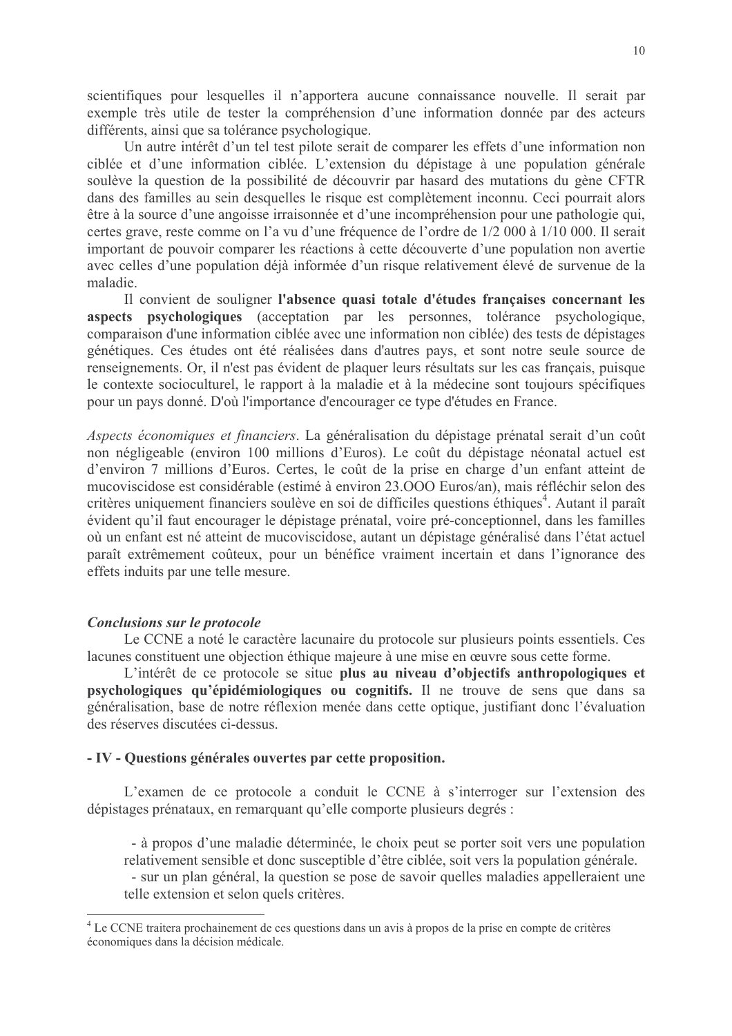scientifiques pour lesquelles il n'apportera aucune connaissance nouvelle. Il serait par exemple très utile de tester la compréhension d'une information donnée par des acteurs différents, ainsi que sa tolérance psychologique.

Un autre intérêt d'un tel test pilote serait de comparer les effets d'une information non ciblée et d'une information ciblée. L'extension du dépistage à une population générale soulève la question de la possibilité de découvrir par hasard des mutations du gène CFTR dans des familles au sein desquelles le risque est complètement inconnu. Ceci pourrait alors être à la source d'une angoisse irraisonnée et d'une incompréhension pour une pathologie qui, certes grave, reste comme on l'a vu d'une fréquence de l'ordre de 1/2 000 à 1/10 000. Il serait important de pouvoir comparer les réactions à cette découverte d'une population non avertie avec celles d'une population déjà informée d'un risque relativement élevé de survenue de la maladie.

Il convient de souligner l'absence quasi totale d'études françaises concernant les aspects psychologiques (acceptation par les personnes, tolérance psychologique, comparaison d'une information ciblée avec une information non ciblée) des tests de dépistages génétiques. Ces études ont été réalisées dans d'autres pays, et sont notre seule source de renseignements. Or, il n'est pas évident de plaquer leurs résultats sur les cas français, puisque le contexte socioculturel, le rapport à la maladie et à la médecine sont toujours spécifiques pour un pays donné. D'où l'importance d'encourager ce type d'études en France.

Aspects économiques et financiers. La généralisation du dépistage prénatal serait d'un coût non négligeable (environ 100 millions d'Euros). Le coût du dépistage néonatal actuel est d'environ 7 millions d'Euros. Certes, le coût de la prise en charge d'un enfant atteint de mucoviscidose est considérable (estimé à environ 23.000 Euros/an), mais réfléchir selon des critères uniquement financiers soulève en soi de difficiles questions éthiques<sup>4</sup>. Autant il paraît évident qu'il faut encourager le dépistage prénatal, voire pré-conceptionnel, dans les familles où un enfant est né atteint de mucoviscidose, autant un dépistage généralisé dans l'état actuel paraît extrêmement coûteux, pour un bénéfice vraiment incertain et dans l'ignorance des effets induits par une telle mesure.

## Conclusions sur le protocole

Le CCNE a noté le caractère lacunaire du protocole sur plusieurs points essentiels. Ces lacunes constituent une objection éthique majeure à une mise en œuvre sous cette forme.

L'intérêt de ce protocole se situe plus au niveau d'objectifs anthropologiques et psychologiques qu'épidémiologiques ou cognitifs. Il ne trouve de sens que dans sa généralisation, base de notre réflexion menée dans cette optique, justifiant donc l'évaluation des réserves discutées ci-dessus.

## - IV - Questions générales ouvertes par cette proposition.

L'examen de ce protocole a conduit le CCNE à s'interroger sur l'extension des dépistages prénataux, en remarquant qu'elle comporte plusieurs degrés :

- à propos d'une maladie déterminée, le choix peut se porter soit vers une population relativement sensible et donc susceptible d'être ciblée, soit vers la population générale. - sur un plan général, la question se pose de savoir quelles maladies appelleraient une telle extension et selon quels critères.

<sup>&</sup>lt;sup>4</sup> Le CCNE traitera prochainement de ces questions dans un avis à propos de la prise en compte de critères économiques dans la décision médicale.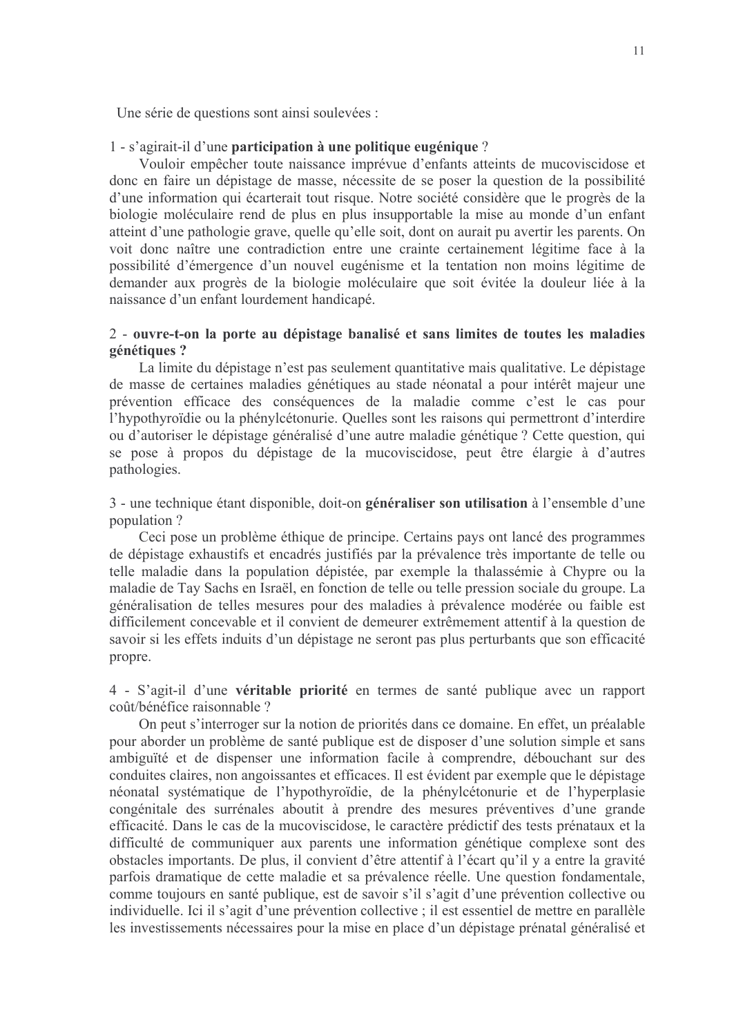Une série de questions sont ainsi soulevées :

### 1 - s'agirait-il d'une participation à une politique eugénique ?

Vouloir empêcher toute naissance imprévue d'enfants atteints de mucoviscidose et donc en faire un dépistage de masse, nécessite de se poser la question de la possibilité d'une information qui écarterait tout risque. Notre société considère que le progrès de la biologie moléculaire rend de plus en plus insupportable la mise au monde d'un enfant atteint d'une pathologie grave, quelle qu'elle soit, dont on aurait pu avertir les parents. On voit donc naître une contradiction entre une crainte certainement légitime face à la possibilité d'émergence d'un nouvel eugénisme et la tentation non moins légitime de demander aux progrès de la biologie moléculaire que soit évitée la douleur liée à la naissance d'un enfant lourdement handicapé.

# 2 - ouvre-t-on la porte au dépistage banalisé et sans limites de toutes les maladies génétiques ?

La limite du dépistage n'est pas seulement quantitative mais qualitative. Le dépistage de masse de certaines maladies génétiques au stade néonatal a pour intérêt majeur une prévention efficace des conséquences de la maladie comme c'est le cas pour l'hypothyroïdie ou la phénylcétonurie. Quelles sont les raisons qui permettront d'interdire ou d'autoriser le dépistage généralisé d'une autre maladie génétique ? Cette question, qui se pose à propos du dépistage de la mucoviscidose, peut être élargie à d'autres pathologies.

3 - une technique étant disponible, doit-on généraliser son utilisation à l'ensemble d'une nopulation?

Ceci pose un problème éthique de principe. Certains pays ont lancé des programmes de dépistage exhaustifs et encadrés justifiés par la prévalence très importante de telle ou telle maladie dans la population dépistée, par exemple la thalassémie à Chypre ou la maladie de Tay Sachs en Israël, en fonction de telle ou telle pression sociale du groupe. La généralisation de telles mesures pour des maladies à prévalence modérée ou faible est difficilement concevable et il convient de demeurer extrêmement attentif à la question de savoir si les effets induits d'un dépistage ne seront pas plus perturbants que son efficacité propre.

4 - S'agit-il d'une véritable priorité en termes de santé publique avec un rapport coût/bénéfice raisonnable ?

On peut s'interroger sur la notion de priorités dans ce domaine. En effet, un préalable pour aborder un problème de santé publique est de disposer d'une solution simple et sans ambiguïté et de dispenser une information facile à comprendre, débouchant sur des conduites claires, non angoissantes et efficaces. Il est évident par exemple que le dépistage néonatal systématique de l'hypothyroïdie, de la phénylcétonurie et de l'hyperplasie congénitale des surrénales aboutit à prendre des mesures préventives d'une grande efficacité. Dans le cas de la mucoviscidose, le caractère prédictif des tests prénataux et la difficulté de communiquer aux parents une information génétique complexe sont des obstacles importants. De plus, il convient d'être attentif à l'écart qu'il y a entre la gravité parfois dramatique de cette maladie et sa prévalence réelle. Une question fondamentale, comme toujours en santé publique, est de savoir s'il s'agit d'une prévention collective ou individuelle. Ici il s'agit d'une prévention collective ; il est essentiel de mettre en parallèle les investissements nécessaires pour la mise en place d'un dépistage prénatal généralisé et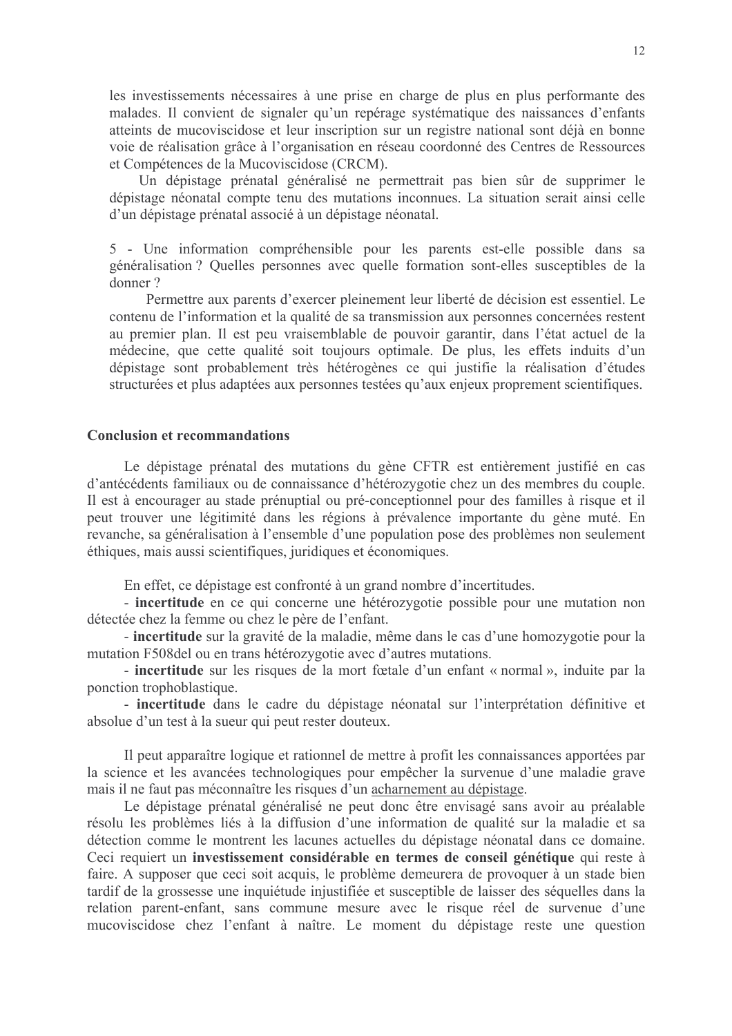les investissements nécessaires à une prise en charge de plus en plus performante des malades. Il convient de signaler qu'un repérage systématique des naissances d'enfants atteints de mucoviscidose et leur inscription sur un registre national sont déjà en bonne voie de réalisation grâce à l'organisation en réseau coordonné des Centres de Ressources et Compétences de la Mucoviscidose (CRCM).

Un dépistage prénatal généralisé ne permettrait pas bien sûr de supprimer le dépistage néonatal compte tenu des mutations inconnues. La situation serait ainsi celle d'un dépistage prénatal associé à un dépistage néonatal.

5 - Une information compréhensible pour les parents est-elle possible dans sa généralisation? Quelles personnes avec quelle formation sont-elles susceptibles de la donner?

Permettre aux parents d'exercer pleinement leur liberté de décision est essentiel. Le contenu de l'information et la qualité de sa transmission aux personnes concernées restent au premier plan. Il est peu vraisemblable de pouvoir garantir, dans l'état actuel de la médecine, que cette qualité soit toujours optimale. De plus, les effets induits d'un dépistage sont probablement très hétérogènes ce qui justifie la réalisation d'études structurées et plus adaptées aux personnes testées qu'aux enjeux proprement scientifiques.

### **Conclusion et recommandations**

Le dépistage prénatal des mutations du gène CFTR est entièrement justifié en cas d'antécédents familiaux ou de connaissance d'hétérozygotie chez un des membres du couple. Il est à encourager au stade prénuptial ou pré-conceptionnel pour des familles à risque et il peut trouver une légitimité dans les régions à prévalence importante du gène muté. En revanche, sa généralisation à l'ensemble d'une population pose des problèmes non seulement éthiques, mais aussi scientifiques, juridiques et économiques.

En effet, ce dépistage est confronté à un grand nombre d'incertitudes.

- incertitude en ce qui concerne une hétérozygotie possible pour une mutation non détectée chez la femme ou chez le père de l'enfant.

- incertitude sur la gravité de la maladie, même dans le cas d'une homozygotie pour la mutation F508 del ou en trans hétérozy gotie avec d'autres mutations.

- incertitude sur les risques de la mort fœtale d'un enfant « normal », induite par la ponction trophoblastique.

- incertitude dans le cadre du dépistage néonatal sur l'interprétation définitive et absolue d'un test à la sueur qui peut rester douteux.

Il peut apparaître logique et rationnel de mettre à profit les connaissances apportées par la science et les avancées technologiques pour empêcher la survenue d'une maladie grave mais il ne faut pas méconnaître les risques d'un acharnement au dépistage.

Le dépistage prénatal généralisé ne peut donc être envisagé sans avoir au préalable résolu les problèmes liés à la diffusion d'une information de qualité sur la maladie et sa détection comme le montrent les lacunes actuelles du dépistage néonatal dans ce domaine. Ceci requiert un investissement considérable en termes de conseil génétique qui reste à faire. A supposer que ceci soit acquis, le problème demeurera de provoquer à un stade bien tardif de la grossesse une inquiétude injustifiée et susceptible de laisser des séquelles dans la relation parent-enfant, sans commune mesure avec le risque réel de survenue d'une mucoviscidose chez l'enfant à naître. Le moment du dépistage reste une question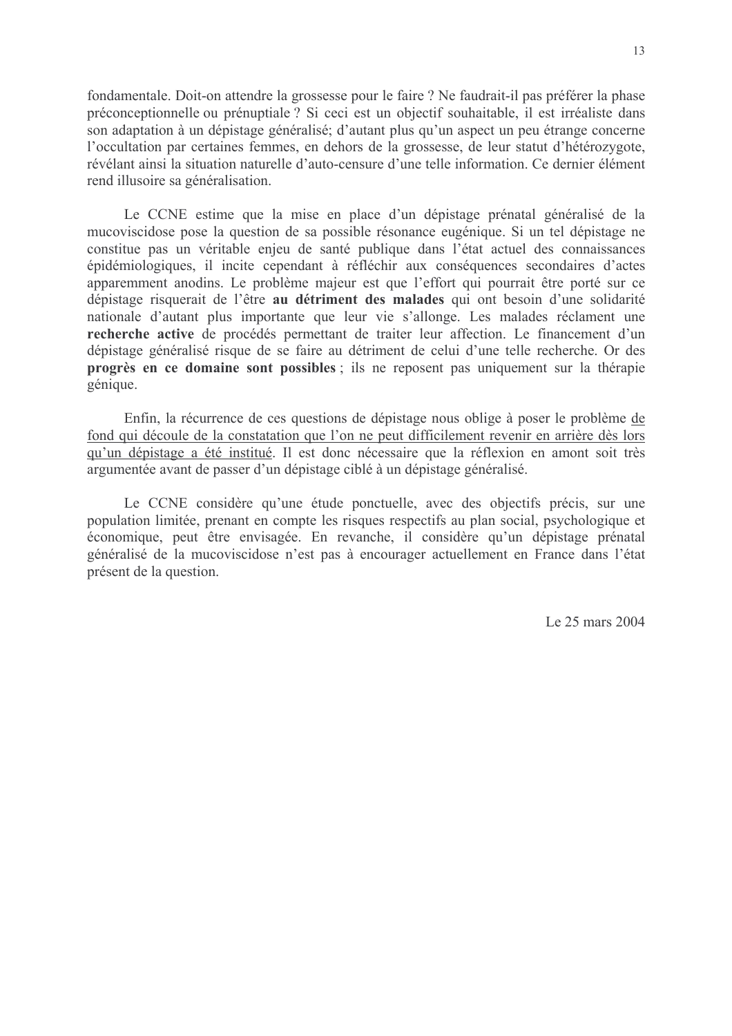fondamentale. Doit-on attendre la grossesse pour le faire ? Ne faudrait-il pas préférer la phase préconceptionnelle ou prénuptiale ? Si ceci est un objectif souhaitable, il est irréaliste dans son adaptation à un dépistage généralisé; d'autant plus qu'un aspect un peu étrange concerne l'occultation par certaines femmes, en dehors de la grossesse, de leur statut d'hétérozygote, révélant ainsi la situation naturelle d'auto-censure d'une telle information. Ce dernier élément rend illusoire sa généralisation.

Le CCNE estime que la mise en place d'un dépistage prénatal généralisé de la mucoviscidose pose la question de sa possible résonance eugénique. Si un tel dépistage ne constitue pas un véritable enjeu de santé publique dans l'état actuel des connaissances épidémiologiques, il incite cependant à réfléchir aux conséquences secondaires d'actes apparemment anodins. Le problème majeur est que l'effort qui pourrait être porté sur ce dépistage risquerait de l'être au détriment des malades qui ont besoin d'une solidarité nationale d'autant plus importante que leur vie s'allonge. Les malades réclament une recherche active de procédés permettant de traiter leur affection. Le financement d'un dépistage généralisé risque de se faire au détriment de celui d'une telle recherche. Or des progrès en ce domaine sont possibles ; ils ne reposent pas uniquement sur la thérapie génique.

Enfin, la récurrence de ces questions de dépistage nous oblige à poser le problème de fond qui découle de la constatation que l'on ne peut difficilement revenir en arrière dès lors qu'un dépistage a été institué. Il est donc nécessaire que la réflexion en amont soit très argumentée avant de passer d'un dépistage ciblé à un dépistage généralisé.

Le CCNE considère qu'une étude ponctuelle, avec des objectifs précis, sur une population limitée, prenant en compte les risques respectifs au plan social, psychologique et économique, peut être envisagée. En revanche, il considère qu'un dépistage prénatal généralisé de la mucoviscidose n'est pas à encourager actuellement en France dans l'état présent de la question.

Le 25 mars 2004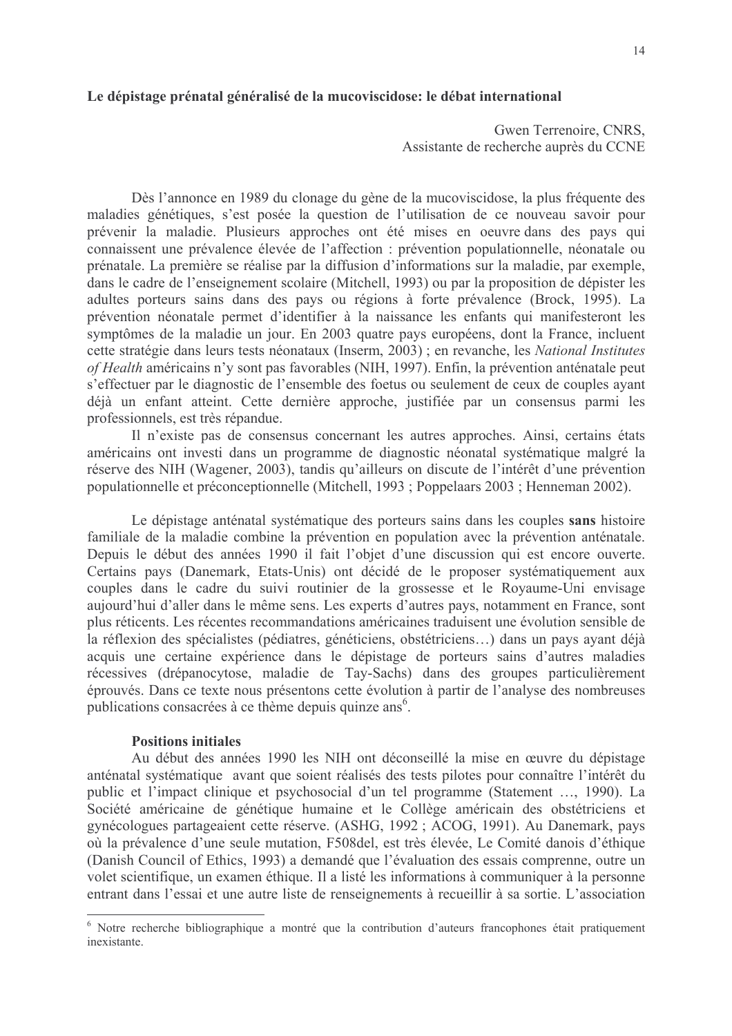## Le dépistage prénatal généralisé de la mucoviscidose: le débat international

# Gwen Terrenoire, CNRS. Assistante de recherche auprès du CCNE

Dès l'annonce en 1989 du clonage du gène de la mucoviscidose, la plus fréquente des maladies génétiques, s'est posée la question de l'utilisation de ce nouveau savoir pour prévenir la maladie. Plusieurs approches ont été mises en oeuvre dans des pays qui connaissent une prévalence élevée de l'affection : prévention populationnelle, néonatale ou prénatale. La première se réalise par la diffusion d'informations sur la maladie, par exemple, dans le cadre de l'enseignement scolaire (Mitchell, 1993) ou par la proposition de dépister les adultes porteurs sains dans des pays ou régions à forte prévalence (Brock, 1995). La prévention néonatale permet d'identifier à la naissance les enfants qui manifesteront les symptômes de la maladie un jour. En 2003 quatre pays européens, dont la France, incluent cette stratégie dans leurs tests néonataux (Inserm, 2003) ; en revanche, les National Institutes of Health américains n'y sont pas favorables (NIH, 1997). Enfin, la prévention anténatale peut s'effectuer par le diagnostic de l'ensemble des foetus ou seulement de ceux de couples avant déjà un enfant atteint. Cette dernière approche, justifiée par un consensus parmi les professionnels, est très répandue.

Il n'existe pas de consensus concernant les autres approches. Ainsi, certains états américains ont investi dans un programme de diagnostic néonatal systématique malgré la réserve des NIH (Wagener, 2003), tandis qu'ailleurs on discute de l'intérêt d'une prévention populationnelle et préconceptionnelle (Mitchell, 1993 ; Poppelaars 2003 ; Henneman 2002).

Le dépistage anténatal systématique des porteurs sains dans les couples sans histoire familiale de la maladie combine la prévention en population avec la prévention anténatale. Depuis le début des années 1990 il fait l'objet d'une discussion qui est encore ouverte. Certains pays (Danemark, Etats-Unis) ont décidé de le proposer systématiquement aux couples dans le cadre du suivi routinier de la grossesse et le Royaume-Uni envisage aujourd'hui d'aller dans le même sens. Les experts d'autres pays, notamment en France, sont plus réticents. Les récentes recommandations américaines traduisent une évolution sensible de la réflexion des spécialistes (pédiatres, généticiens, obstétriciens...) dans un pays ayant déjà acquis une certaine expérience dans le dépistage de porteurs sains d'autres maladies récessives (drépanocytose, maladie de Tay-Sachs) dans des groupes particulièrement éprouvés. Dans ce texte nous présentons cette évolution à partir de l'analyse des nombreuses publications consacrées à ce thème depuis quinze ans<sup>6</sup>.

#### **Positions initiales**

Au début des années 1990 les NIH ont déconseillé la mise en œuvre du dépistage anténatal systématique avant que soient réalisés des tests pilotes pour connaître l'intérêt du public et l'impact clinique et psychosocial d'un tel programme (Statement ..., 1990). La Société américaine de génétique humaine et le Collège américain des obstétriciens et gynécologues partageaient cette réserve. (ASHG, 1992 ; ACOG, 1991). Au Danemark, pays où la prévalence d'une seule mutation, F508del, est très élevée, Le Comité danois d'éthique (Danish Council of Ethics, 1993) a demandé que l'évaluation des essais comprenne, outre un volet scientifique, un examen éthique. Il a listé les informations à communiquer à la personne entrant dans l'essai et une autre liste de renseignements à recueillir à sa sortie. L'association

<sup>&</sup>lt;sup>6</sup> Notre recherche bibliographique a montré que la contribution d'auteurs francophones était pratiquement inexistante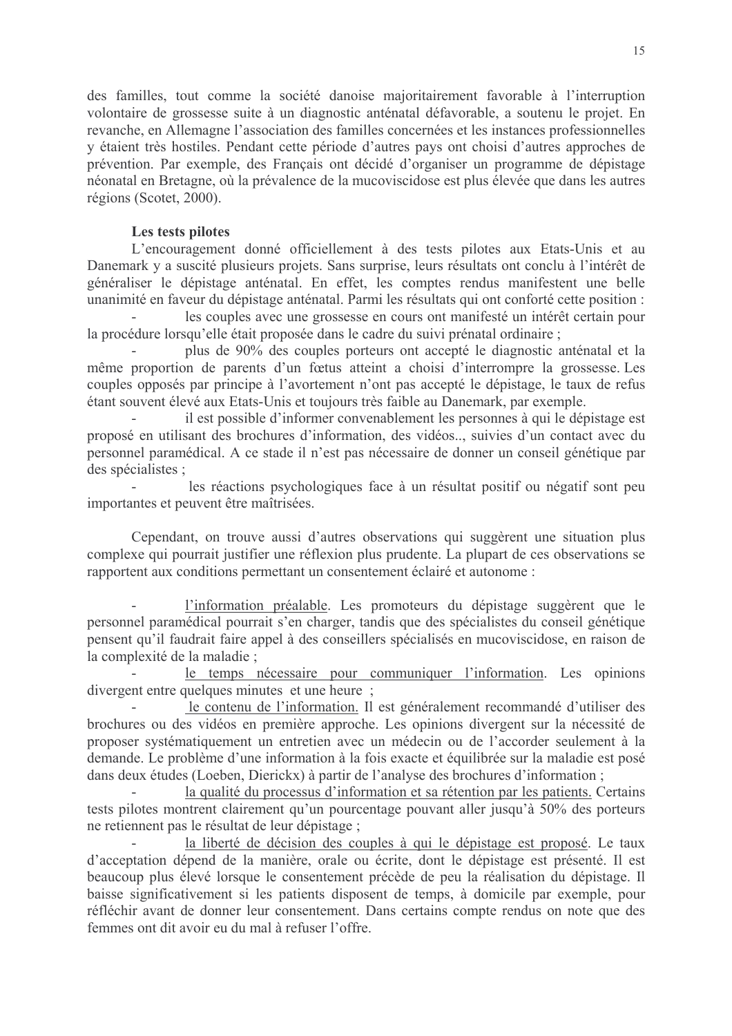des familles, tout comme la société danoise majoritairement favorable à l'interruption volontaire de grossesse suite à un diagnostic anténatal défavorable, a soutenu le projet. En revanche, en Allemagne l'association des familles concernées et les instances professionnelles y étaient très hostiles. Pendant cette période d'autres pays ont choisi d'autres approches de prévention. Par exemple, des Français ont décidé d'organiser un programme de dépistage néonatal en Bretagne, où la prévalence de la mucoviscidose est plus élevée que dans les autres régions (Scotet, 2000).

# Les tests pilotes

L'encouragement donné officiellement à des tests pilotes aux Etats-Unis et au Danemark y a suscité plusieurs projets. Sans surprise, leurs résultats ont conclu à l'intérêt de généraliser le dépistage anténatal. En effet, les comptes rendus manifestent une belle unanimité en faveur du dépistage anténatal. Parmi les résultats qui ont conforté cette position :

les couples avec une grossesse en cours ont manifesté un intérêt certain pour la procédure lorsqu'elle était proposée dans le cadre du suivi prénatal ordinaire :

plus de 90% des couples porteurs ont accepté le diagnostic anténatal et la même proportion de parents d'un fœtus atteint a choisi d'interrompre la grossesse. Les couples opposés par principe à l'avortement n'ont pas accepté le dépistage, le taux de refus étant souvent élevé aux Etats-Unis et toujours très faible au Danemark, par exemple.

il est possible d'informer convenablement les personnes à qui le dépistage est proposé en utilisant des brochures d'information, des vidéos... suivies d'un contact avec du personnel paramédical. A ce stade il n'est pas nécessaire de donner un conseil génétique par des spécialistes :

les réactions psychologiques face à un résultat positif ou négatif sont peu importantes et peuvent être maîtrisées.

Cependant, on trouve aussi d'autres observations qui suggèrent une situation plus complexe qui pourrait justifier une réflexion plus prudente. La plupart de ces observations se rapportent aux conditions permettant un consentement éclairé et autonome :

l'information préalable. Les promoteurs du dépistage suggèrent que le personnel paramédical pourrait s'en charger, tandis que des spécialistes du conseil génétique pensent qu'il faudrait faire appel à des conseillers spécialisés en mucoviscidose, en raison de la complexité de la maladie ;

le temps nécessaire pour communiquer l'information. Les opinions divergent entre quelques minutes et une heure;

le contenu de l'information. Il est généralement recommandé d'utiliser des brochures ou des vidéos en première approche. Les opinions divergent sur la nécessité de proposer systématiquement un entretien avec un médecin ou de l'accorder seulement à la demande. Le problème d'une information à la fois exacte et équilibrée sur la maladie est posé dans deux études (Loeben, Dierickx) à partir de l'analyse des brochures d'information :

la qualité du processus d'information et sa rétention par les patients. Certains tests pilotes montrent clairement qu'un pourcentage pouvant aller jusqu'à 50% des porteurs ne retiennent pas le résultat de leur dépistage ;

la liberté de décision des couples à qui le dépistage est proposé. Le taux d'acceptation dépend de la manière, orale ou écrite, dont le dépistage est présenté. Il est beaucoup plus élevé lorsque le consentement précède de peu la réalisation du dépistage. Il baisse significativement si les patients disposent de temps, à domicile par exemple, pour réfléchir avant de donner leur consentement. Dans certains compte rendus on note que des femmes ont dit avoir eu du mal à refuser l'offre.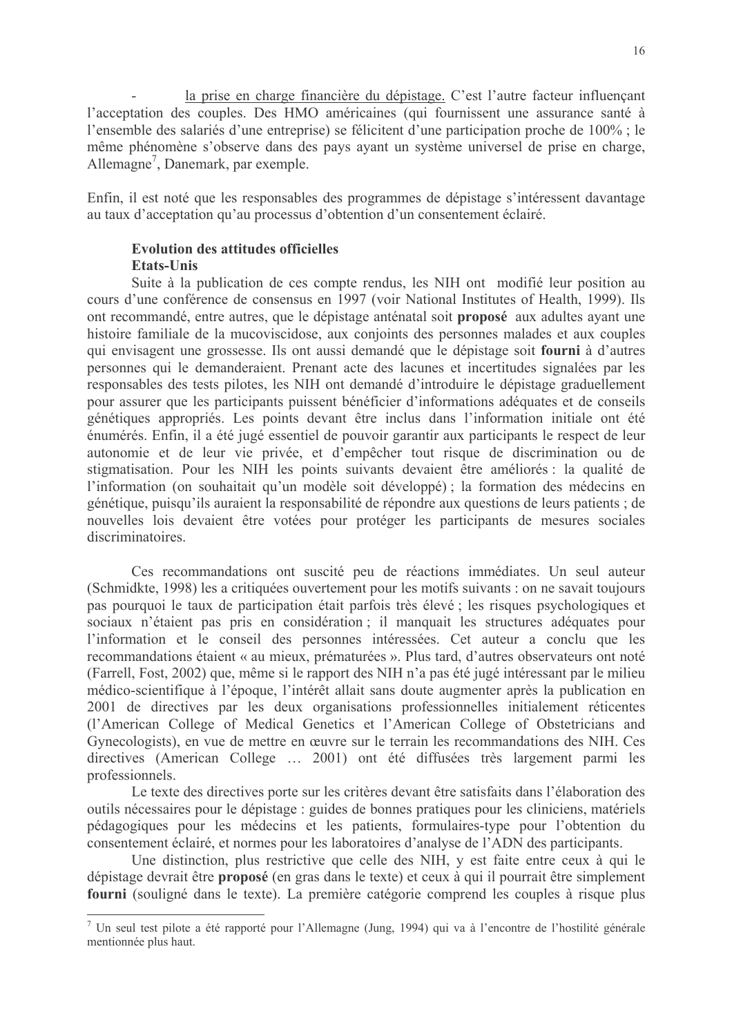la prise en charge financière du dépistage. C'est l'autre facteur influençant l'acceptation des couples. Des HMO américaines (qui fournissent une assurance santé à l'ensemble des salariés d'une entreprise) se félicitent d'une participation proche de 100%; le même phénomène s'observe dans des pays ayant un système universel de prise en charge, Allemagne<sup>7</sup>, Danemark, par exemple.

Enfin, il est noté que les responsables des programmes de dépistage s'intéressent davantage au taux d'acceptation qu'au processus d'obtention d'un consentement éclairé.

### **Evolution des attitudes officielles** Etats-Unis

Suite à la publication de ces compte rendus, les NIH ont modifié leur position au cours d'une conférence de consensus en 1997 (voir National Institutes of Health, 1999). Ils ont recommandé, entre autres, que le dépistage anténatal soit proposé aux adultes ayant une histoire familiale de la mucoviscidose, aux conjoints des personnes malades et aux couples qui envisagent une grossesse. Ils ont aussi demandé que le dépistage soit fourni à d'autres personnes qui le demanderaient. Prenant acte des lacunes et incertitudes signalées par les responsables des tests pilotes, les NIH ont demandé d'introduire le dépistage graduellement pour assurer que les participants puissent bénéficier d'informations adéquates et de conseils génétiques appropriés. Les points devant être inclus dans l'information initiale ont été énumérés. Enfin, il a été jugé essentiel de pouvoir garantir aux participants le respect de leur autonomie et de leur vie privée, et d'empêcher tout risque de discrimination ou de stigmatisation. Pour les NIH les points suivants devaient être améliorés : la qualité de l'information (on souhaitait qu'un modèle soit développé) ; la formation des médecins en génétique, puisqu'ils auraient la responsabilité de répondre aux questions de leurs patients ; de nouvelles lois devaient être votées pour protéger les participants de mesures sociales discriminatoires.

Ces recommandations ont suscité peu de réactions immédiates. Un seul auteur (Schmidkte, 1998) les a critiquées ouvertement pour les motifs suivants : on ne savait toujours pas pourquoi le taux de participation était parfois très élevé ; les risques psychologiques et sociaux n'étaient pas pris en considération; il manquait les structures adéquates pour l'information et le conseil des personnes intéressées. Cet auteur a conclu que les recommandations étaient « au mieux, prématurées ». Plus tard, d'autres observateurs ont noté (Farrell, Fost, 2002) que, même si le rapport des NIH n'a pas été jugé intéressant par le milieu médico-scientifique à l'époque, l'intérêt allait sans doute augmenter après la publication en 2001 de directives par les deux organisations professionnelles initialement réticentes (l'American College of Medical Genetics et l'American College of Obstetricians and Gynecologists), en vue de mettre en œuvre sur le terrain les recommandations des NIH. Ces directives (American College ... 2001) ont été diffusées très largement parmi les professionnels.

Le texte des directives porte sur les critères devant être satisfaits dans l'élaboration des outils nécessaires pour le dépistage : guides de bonnes pratiques pour les cliniciens, matériels pédagogiques pour les médecins et les patients, formulaires-type pour l'obtention du consentement éclairé, et normes pour les laboratoires d'analyse de l'ADN des participants.

Une distinction, plus restrictive que celle des NIH, y est faite entre ceux à qui le dépistage devrait être proposé (en gras dans le texte) et ceux à qui il pourrait être simplement fourni (souligné dans le texte). La première catégorie comprend les couples à risque plus

<sup>7</sup> Un seul test pilote a été rapporté pour l'Allemagne (Jung, 1994) qui va à l'encontre de l'hostilité générale mentionnée plus haut.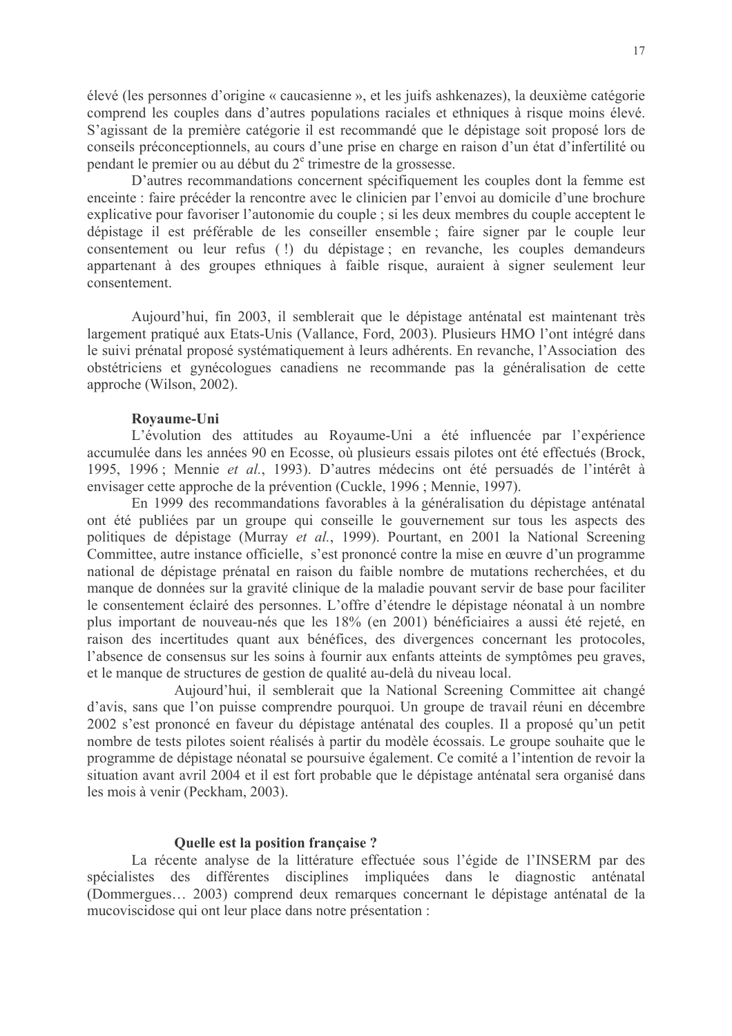élevé (les personnes d'origine « caucasienne », et les juifs ashkenazes), la deuxième catégorie comprend les couples dans d'autres populations raciales et ethniques à risque moins élevé. S'agissant de la première catégorie il est recommandé que le dépistage soit proposé lors de conseils préconceptionnels, au cours d'une prise en charge en raison d'un état d'infertilité ou pendant le premier ou au début du 2<sup>e</sup> trimestre de la grossesse.

D'autres recommandations concernent spécifiquement les couples dont la femme est enceinte : faire précéder la rencontre avec le clinicien par l'envoi au domicile d'une brochure explicative pour favoriser l'autonomie du couple ; si les deux membres du couple acceptent le dépistage il est préférable de les conseiller ensemble; faire signer par le couple leur consentement ou leur refus (!) du dépistage; en revanche, les couples demandeurs appartenant à des groupes ethniques à faible risque, auraient à signer seulement leur consentement.

Aujourd'hui, fin 2003, il semblerait que le dépistage anténatal est maintenant très largement pratiqué aux Etats-Unis (Vallance, Ford, 2003). Plusieurs HMO l'ont intégré dans le suivi prénatal proposé systématiquement à leurs adhérents. En revanche, l'Association des obstétriciens et gynécologues canadiens ne recommande pas la généralisation de cette approche (Wilson, 2002).

#### Rovaume-Uni

L'évolution des attitudes au Royaume-Uni a été influencée par l'expérience accumulée dans les années 90 en Ecosse, où plusieurs essais pilotes ont été effectués (Brock, 1995, 1996; Mennie et al., 1993). D'autres médecins ont été persuadés de l'intérêt à envisager cette approche de la prévention (Cuckle, 1996 ; Mennie, 1997).

En 1999 des recommandations favorables à la généralisation du dépistage anténatal ont été publiées par un groupe qui conseille le gouvernement sur tous les aspects des politiques de dépistage (Murray et al., 1999). Pourtant, en 2001 la National Screening Committee, autre instance officielle, s'est prononcé contre la mise en œuvre d'un programme national de dépistage prénatal en raison du faible nombre de mutations recherchées, et du manque de données sur la gravité clinique de la maladie pouvant servir de base pour faciliter le consentement éclairé des personnes. L'offre d'étendre le dépistage néonatal à un nombre plus important de nouveau-nés que les 18% (en 2001) bénéficiaires a aussi été rejeté, en raison des incertitudes quant aux bénéfices, des divergences concernant les protocoles, l'absence de consensus sur les soins à fournir aux enfants atteints de symptômes peu graves, et le manque de structures de gestion de qualité au-delà du niveau local.

Aujourd'hui, il semblerait que la National Screening Committee ait changé d'avis, sans que l'on puisse comprendre pourquoi. Un groupe de travail réuni en décembre 2002 s'est prononcé en faveur du dépistage anténatal des couples. Il a proposé qu'un petit nombre de tests pilotes soient réalisés à partir du modèle écossais. Le groupe souhaite que le programme de dépistage néonatal se poursuive également. Ce comité a l'intention de revoir la situation avant avril 2004 et il est fort probable que le dépistage anténatal sera organisé dans les mois à venir (Peckham, 2003).

### Quelle est la position française ?

La récente analyse de la littérature effectuée sous l'égide de l'INSERM par des spécialistes des différentes disciplines impliquées dans le diagnostic anténatal (Dommergues... 2003) comprend deux remarques concernant le dépistage anténatal de la mucoviscidose qui ont leur place dans notre présentation :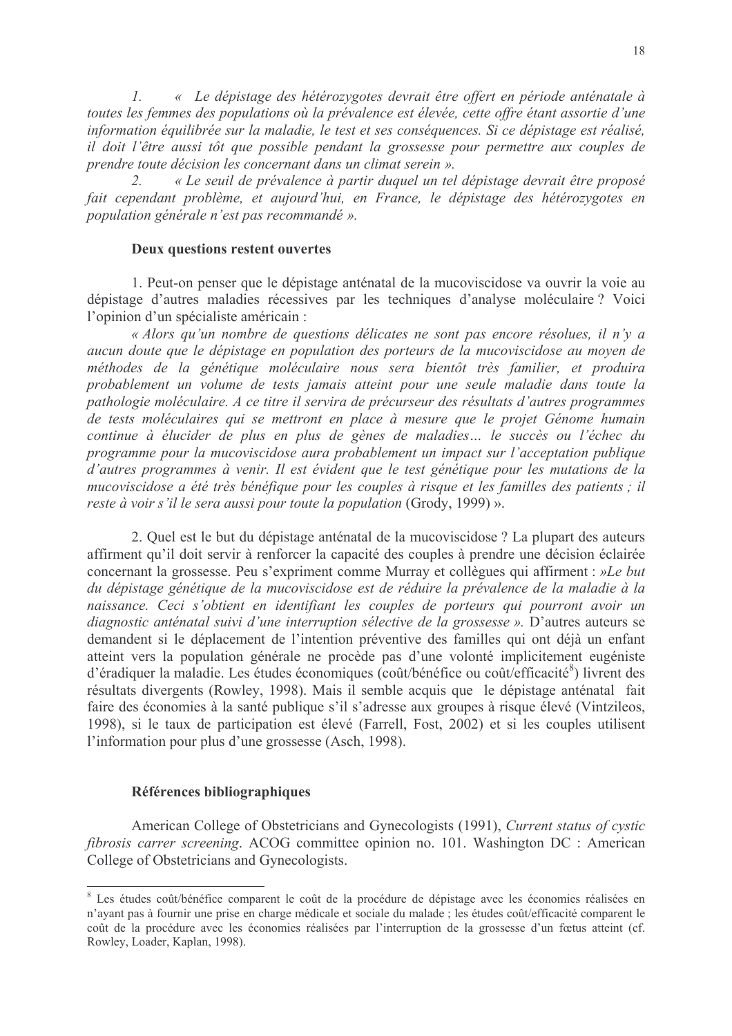« Le dépistage des hétérozygotes devrait être offert en période anténatale à  $\mathcal{I}$ . toutes les femmes des populations où la prévalence est élevée, cette offre étant assortie d'une information équilibrée sur la maladie, le test et ses conséquences. Si ce dépistage est réalisé, il doit l'être aussi tôt que possible pendant la grossesse pour permettre aux couples de prendre toute décision les concernant dans un climat serein ».

 $2<sup>1</sup>$ « Le seuil de prévalence à partir duquel un tel dépistage devrait être proposé fait cependant problème, et aujourd'hui, en France, le dépistage des hétérozygotes en population générale n'est pas recommandé ».

## **Deux questions restent ouvertes**

1. Peut-on penser que le dépistage anténatal de la mucoviscidose va ouvrir la voie au dépistage d'autres maladies récessives par les techniques d'analyse moléculaire? Voici l'opinion d'un spécialiste américain :

« Alors qu'un nombre de questions délicates ne sont pas encore résolues, il n'y a aucun doute que le dépistage en population des porteurs de la mucoviscidose au moyen de méthodes de la génétique moléculaire nous sera bientôt très familier, et produira probablement un volume de tests jamais atteint pour une seule maladie dans toute la pathologie moléculaire. A ce titre il servira de précurseur des résultats d'autres programmes de tests moléculaires qui se mettront en place à mesure que le projet Génome humain continue à élucider de plus en plus de gènes de maladies... le succès ou l'échec du programme pour la mucoviscidose aura probablement un impact sur l'acceptation publique d'autres programmes à venir. Il est évident que le test génétique pour les mutations de la mucoviscidose a été très bénéfique pour les couples à risque et les familles des patients ; il reste à voir s'il le sera aussi pour toute la population (Grody, 1999) ».

2. Quel est le but du dépistage anténatal de la mucoviscidose ? La plupart des auteurs affirment qu'il doit servir à renforcer la capacité des couples à prendre une décision éclairée concernant la grossesse. Peu s'expriment comme Murray et collègues qui affirment : »Le but du dépistage génétique de la mucoviscidose est de réduire la prévalence de la maladie à la naissance. Ceci s'obtient en identifiant les couples de porteurs qui pourront avoir un diagnostic anténatal suivi d'une interruption sélective de la grossesse ». D'autres auteurs se demandent si le déplacement de l'intention préventive des familles qui ont déjà un enfant atteint vers la population générale ne procède pas d'une volonté implicitement eugéniste d'éradiquer la maladie. Les études économiques (coût/bénéfice ou coût/efficacité<sup>8</sup>) livrent des résultats divergents (Rowley, 1998). Mais il semble acquis que le dépistage anténatal fait faire des économies à la santé publique s'il s'adresse aux groupes à risque élevé (Vintzileos, 1998), si le taux de participation est élevé (Farrell, Fost, 2002) et si les couples utilisent l'information pour plus d'une grossesse (Asch, 1998).

## Références bibliographiques

American College of Obstetricians and Gynecologists (1991), Current status of cystic *fibrosis carrer screening.* ACOG committee opinion no. 101. Washington DC : American College of Obstetricians and Gynecologists.

<sup>&</sup>lt;sup>8</sup> Les études coût/bénéfice comparent le coût de la procédure de dépistage avec les économies réalisées en n'ayant pas à fournir une prise en charge médicale et sociale du malade ; les études coût/efficacité comparent le coût de la procédure avec les économies réalisées par l'interruption de la grossesse d'un fœtus atteint (cf. Rowley, Loader, Kaplan, 1998).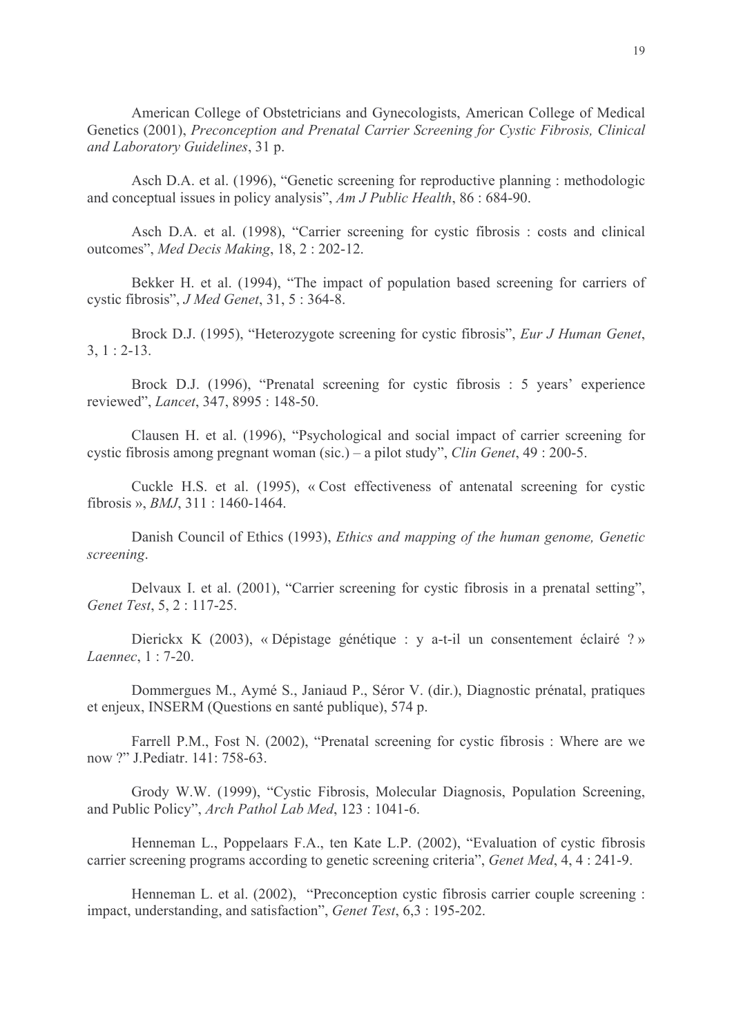American College of Obstetricians and Gynecologists, American College of Medical Genetics (2001), Preconception and Prenatal Carrier Screening for Cystic Fibrosis, Clinical and Laboratory Guidelines, 31 p.

Asch D.A. et al. (1996), "Genetic screening for reproductive planning : methodologic and conceptual issues in policy analysis", Am J Public Health, 86 : 684-90.

Asch D.A. et al. (1998), "Carrier screening for cystic fibrosis: costs and clinical outcomes", Med Decis Making, 18, 2: 202-12.

Bekker H. et al. (1994), "The impact of population based screening for carriers of cystic fibrosis", *J Med Genet*, 31, 5:364-8.

Brock D.J. (1995), "Heterozygote screening for cystic fibrosis", *Eur J Human Genet*,  $3, 1: 2-13.$ 

Brock D.J. (1996), "Prenatal screening for cystic fibrosis : 5 years' experience reviewed", *Lancet*, 347, 8995 : 148-50.

Clausen H. et al. (1996), "Psychological and social impact of carrier screening for cystic fibrosis among pregnant woman (sic.) – a pilot study", *Clin Genet*,  $49 : 200-5$ .

Cuckle H.S. et al. (1995), « Cost effectiveness of antenatal screening for cystic fibrosis », *BMJ*, 311 : 1460-1464.

Danish Council of Ethics (1993), Ethics and mapping of the human genome, Genetic screening.

Delvaux I. et al. (2001), "Carrier screening for cystic fibrosis in a prenatal setting", Genet Test, 5, 2 : 117-25.

Dierickx K (2003), « Dépistage génétique : y a-t-il un consentement éclairé ? » Laennec, 1:7-20.

Dommergues M., Aymé S., Janiaud P., Séror V. (dir.), Diagnostic prénatal, pratiques et enjeux, INSERM (Questions en santé publique), 574 p.

Farrell P.M., Fost N. (2002), "Prenatal screening for cystic fibrosis: Where are we now ?" J.Pediatr. 141: 758-63.

Grody W.W. (1999), "Cystic Fibrosis, Molecular Diagnosis, Population Screening, and Public Policy", Arch Pathol Lab Med, 123: 1041-6.

Henneman L., Poppelaars F.A., ten Kate L.P. (2002), "Evaluation of cystic fibrosis carrier screening programs according to genetic screening criteria", *Genet Med*, 4, 4:241-9.

Henneman L. et al. (2002), "Preconception cystic fibrosis carrier couple screening : impact, understanding, and satisfaction", Genet Test, 6,3 : 195-202.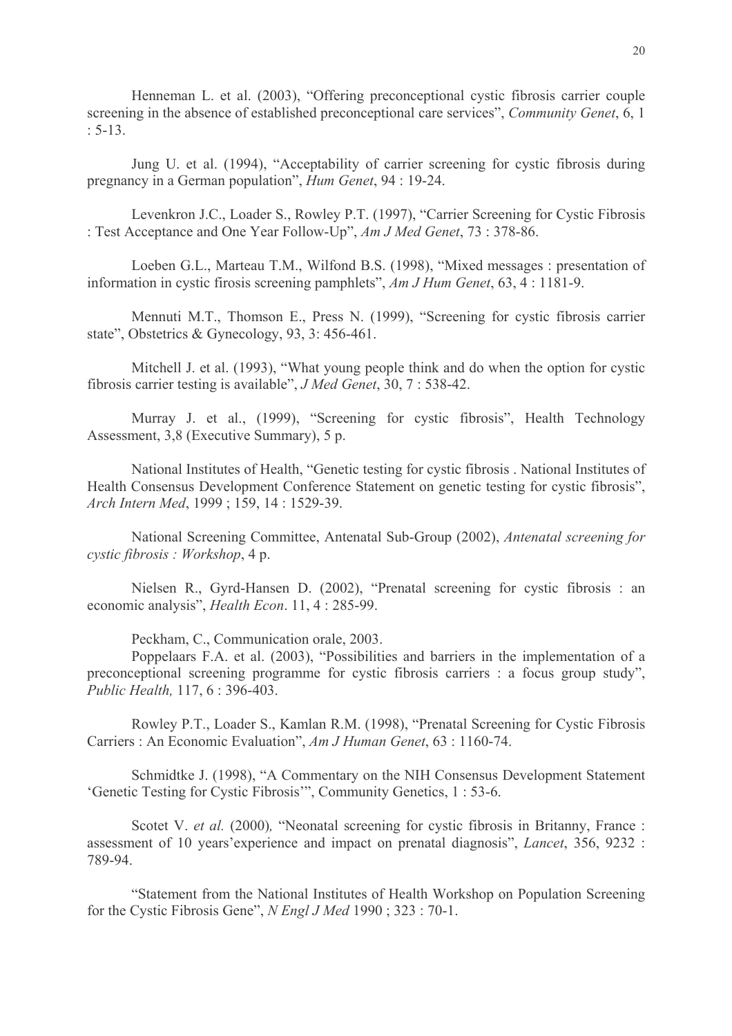Henneman L. et al. (2003), "Offering preconceptional cystic fibrosis carrier couple screening in the absence of established preconceptional care services", Community Genet, 6, 1  $: 5-13.$ 

Jung U. et al. (1994), "Acceptability of carrier screening for cystic fibrosis during pregnancy in a German population", Hum Genet, 94 : 19-24.

Levenkron J.C., Loader S., Rowley P.T. (1997), "Carrier Screening for Cystic Fibrosis : Test Acceptance and One Year Follow-Up", Am J Med Genet, 73 : 378-86.

Loeben G.L., Marteau T.M., Wilfond B.S. (1998), "Mixed messages : presentation of information in cystic firosis screening pamphlets",  $AmJHum Genet$ , 63, 4 : 1181-9.

Mennuti M.T., Thomson E., Press N. (1999), "Screening for cystic fibrosis carrier state", Obstetrics & Gynecology, 93, 3: 456-461.

Mitchell J. et al. (1993), "What young people think and do when the option for cystic fibrosis carrier testing is available", *J Med Genet*, 30, 7 : 538-42.

Murray J. et al., (1999), "Screening for cystic fibrosis", Health Technology Assessment, 3,8 (Executive Summary), 5 p.

National Institutes of Health, "Genetic testing for cystic fibrosis . National Institutes of Health Consensus Development Conference Statement on genetic testing for cystic fibrosis", Arch Intern Med, 1999; 159, 14: 1529-39.

National Screening Committee, Antenatal Sub-Group (2002), *Antenatal screening for* cystic fibrosis : Workshop, 4 p.

Nielsen R., Gyrd-Hansen D. (2002), "Prenatal screening for cystic fibrosis : an economic analysis", *Health Econ.* 11, 4:285-99.

Peckham, C., Communication orale, 2003.

Poppelaars F.A. et al. (2003), "Possibilities and barriers in the implementation of a preconceptional screening programme for cystic fibrosis carriers : a focus group study". Public Health, 117, 6:396-403.

Rowley P.T., Loader S., Kamlan R.M. (1998), "Prenatal Screening for Cystic Fibrosis Carriers: An Economic Evaluation", Am J Human Genet, 63 : 1160-74.

Schmidtke J. (1998). "A Commentary on the NIH Consensus Development Statement 'Genetic Testing for Cystic Fibrosis'", Community Genetics, 1:53-6.

Scotet V. et al. (2000), "Neonatal screening for cystic fibrosis in Britanny, France: assessment of 10 years' experience and impact on prenatal diagnosis", *Lancet*, 356, 9232 : 789-94

"Statement from the National Institutes of Health Workshop on Population Screening for the Cystic Fibrosis Gene", N Engl J Med 1990; 323:70-1.